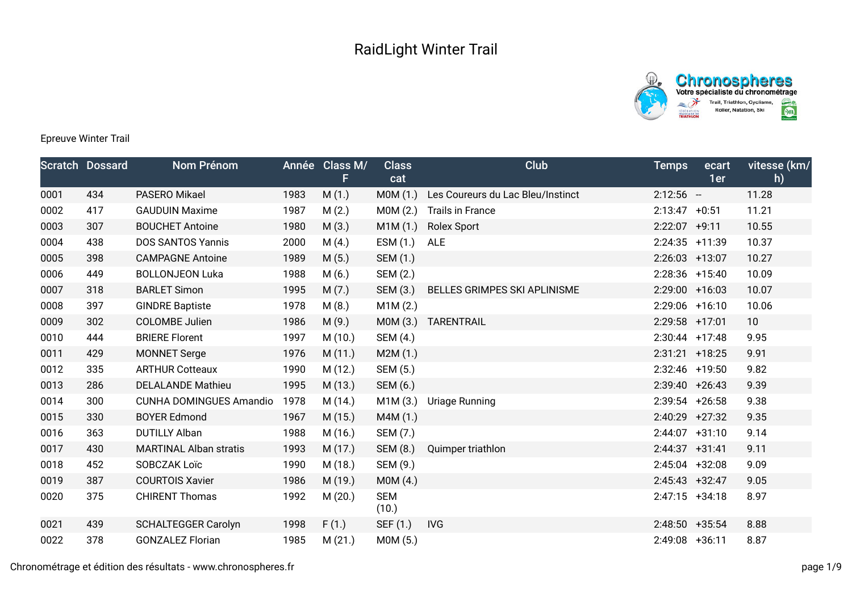



## Epreuve Winter Trail

|      | <b>Scratch Dossard</b> | <b>Nom Prénom</b>              |      | Année Class M/<br>F | <b>Class</b><br>cat | Club                              | <b>Temps</b>     | ecart<br>1er | vitesse (km/<br>h) |
|------|------------------------|--------------------------------|------|---------------------|---------------------|-----------------------------------|------------------|--------------|--------------------|
| 0001 | 434                    | PASERO Mikael                  | 1983 | M(1.)               | MOM(1.)             | Les Coureurs du Lac Bleu/Instinct | $2:12:56 -$      |              | 11.28              |
| 0002 | 417                    | <b>GAUDUIN Maxime</b>          | 1987 | M(2.)               | MOM(2.)             | <b>Trails in France</b>           | $2:13:47 +0:51$  |              | 11.21              |
| 0003 | 307                    | <b>BOUCHET Antoine</b>         | 1980 | M(3.)               | M1M(1.)             | <b>Rolex Sport</b>                | $2:22:07$ +9:11  |              | 10.55              |
| 0004 | 438                    | <b>DOS SANTOS Yannis</b>       | 2000 | M(4.)               | ESM (1.)            | ALE                               | 2:24:35 +11:39   |              | 10.37              |
| 0005 | 398                    | <b>CAMPAGNE Antoine</b>        | 1989 | M(5.)               | SEM (1.)            |                                   | $2:26:03$ +13:07 |              | 10.27              |
| 0006 | 449                    | <b>BOLLONJEON Luka</b>         | 1988 | M(6.)               | SEM (2.)            |                                   | $2:28:36$ +15:40 |              | 10.09              |
| 0007 | 318                    | <b>BARLET Simon</b>            | 1995 | M(7.)               | SEM (3.)            | BELLES GRIMPES SKI APLINISME      | 2:29:00 +16:03   |              | 10.07              |
| 0008 | 397                    | <b>GINDRE Baptiste</b>         | 1978 | M(8.)               | M1M(2.)             |                                   | 2:29:06 +16:10   |              | 10.06              |
| 0009 | 302                    | <b>COLOMBE Julien</b>          | 1986 | M(9.)               | MOM(3.)             | TARENTRAIL                        | 2:29:58 +17:01   |              | 10                 |
| 0010 | 444                    | <b>BRIERE Florent</b>          | 1997 | M(10.)              | SEM (4.)            |                                   | $2:30:44$ +17:48 |              | 9.95               |
| 0011 | 429                    | <b>MONNET Serge</b>            | 1976 | M(11.)              | M2M(1.)             |                                   | $2:31:21$ +18:25 |              | 9.91               |
| 0012 | 335                    | <b>ARTHUR Cotteaux</b>         | 1990 | M (12.)             | SEM (5.)            |                                   | 2:32:46 +19:50   |              | 9.82               |
| 0013 | 286                    | <b>DELALANDE Mathieu</b>       | 1995 | M (13.)             | SEM (6.)            |                                   | $2:39:40 +26:43$ |              | 9.39               |
| 0014 | 300                    | <b>CUNHA DOMINGUES Amandio</b> | 1978 | M (14.)             | M1M(3.)             | Uriage Running                    | $2:39:54$ +26:58 |              | 9.38               |
| 0015 | 330                    | <b>BOYER Edmond</b>            | 1967 | M(15.)              | M4M (1.)            |                                   | $2:40:29$ +27:32 |              | 9.35               |
| 0016 | 363                    | <b>DUTILLY Alban</b>           | 1988 | M (16.)             | SEM (7.)            |                                   | $2:44:07$ +31:10 |              | 9.14               |
| 0017 | 430                    | <b>MARTINAL Alban stratis</b>  | 1993 | M (17.)             | SEM (8.)            | Quimper triathlon                 | $2:44:37$ +31:41 |              | 9.11               |
| 0018 | 452                    | SOBCZAK Loïc                   | 1990 | M (18.)             | SEM (9.)            |                                   | $2:45:04$ +32:08 |              | 9.09               |
| 0019 | 387                    | <b>COURTOIS Xavier</b>         | 1986 | M (19.)             | MOM(4.)             |                                   | $2:45:43 +32:47$ |              | 9.05               |
| 0020 | 375                    | <b>CHIRENT Thomas</b>          | 1992 | M(20.)              | <b>SEM</b><br>(10.) |                                   | $2:47:15$ +34:18 |              | 8.97               |
| 0021 | 439                    | <b>SCHALTEGGER Carolyn</b>     | 1998 | F(1.)               | SEF (1.)            | IVG                               | $2:48:50 +35:54$ |              | 8.88               |
| 0022 | 378                    | <b>GONZALEZ Florian</b>        | 1985 | M(21.)              | M0M (5.)            |                                   | 2:49:08 +36:11   |              | 8.87               |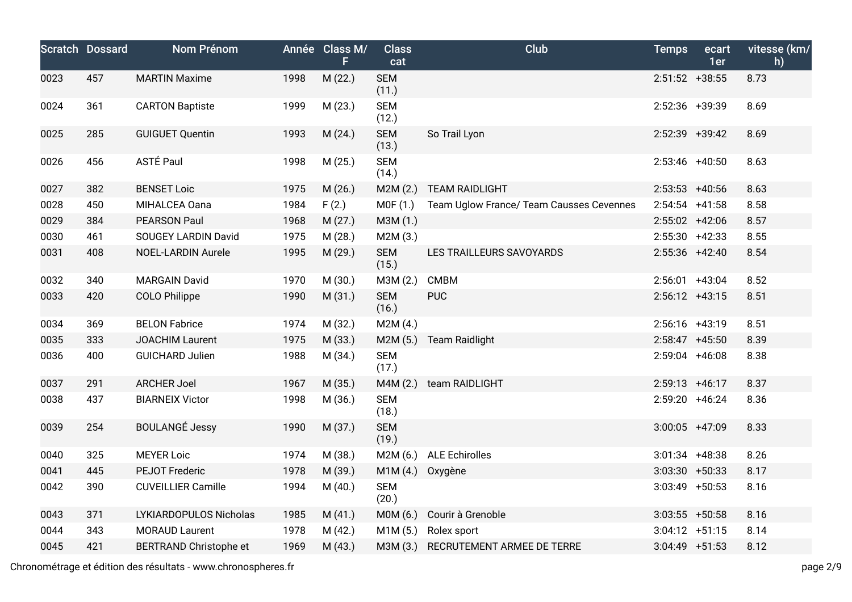|      | <b>Scratch Dossard</b> | Nom Prénom                    |      | Année Class M/<br>F | <b>Class</b><br>cat | <b>Club</b>                              | <b>Temps</b>      | ecart<br>1er | vitesse (km/<br>h) |
|------|------------------------|-------------------------------|------|---------------------|---------------------|------------------------------------------|-------------------|--------------|--------------------|
| 0023 | 457                    | <b>MARTIN Maxime</b>          | 1998 | M (22.)             | <b>SEM</b><br>(11.) |                                          | $2:51:52$ +38:55  |              | 8.73               |
| 0024 | 361                    | <b>CARTON Baptiste</b>        | 1999 | M (23.)             | <b>SEM</b><br>(12.) |                                          | 2:52:36 +39:39    |              | 8.69               |
| 0025 | 285                    | <b>GUIGUET Quentin</b>        | 1993 | M(24.)              | <b>SEM</b><br>(13.) | So Trail Lyon                            | $2:52:39$ +39:42  |              | 8.69               |
| 0026 | 456                    | ASTÉ Paul                     | 1998 | M (25.)             | <b>SEM</b><br>(14.) |                                          | $2:53:46$ +40:50  |              | 8.63               |
| 0027 | 382                    | <b>BENSET Loic</b>            | 1975 | M (26.)             | M2M(2.)             | <b>TEAM RAIDLIGHT</b>                    | $2:53:53$ +40:56  |              | 8.63               |
| 0028 | 450                    | MIHALCEA Oana                 | 1984 | F(2.)               | MOF(1.)             | Team Uglow France/ Team Causses Cevennes | $2:54:54$ +41:58  |              | 8.58               |
| 0029 | 384                    | <b>PEARSON Paul</b>           | 1968 | M(27.)              | M3M (1.)            |                                          | $2:55:02$ +42:06  |              | 8.57               |
| 0030 | 461                    | SOUGEY LARDIN David           | 1975 | M (28.)             | M2M (3.)            |                                          | $2:55:30$ +42:33  |              | 8.55               |
| 0031 | 408                    | <b>NOEL-LARDIN Aurele</b>     | 1995 | M (29.)             | <b>SEM</b><br>(15.) | LES TRAILLEURS SAVOYARDS                 | $2:55:36$ +42:40  |              | 8.54               |
| 0032 | 340                    | <b>MARGAIN David</b>          | 1970 | M (30.)             | M3M (2.)            | <b>CMBM</b>                              | $2:56:01$ +43:04  |              | 8.52               |
| 0033 | 420                    | <b>COLO Philippe</b>          | 1990 | M(31.)              | <b>SEM</b><br>(16.) | <b>PUC</b>                               | $2:56:12$ +43:15  |              | 8.51               |
| 0034 | 369                    | <b>BELON Fabrice</b>          | 1974 | M (32.)             | M2M(4.)             |                                          | $2:56:16$ +43:19  |              | 8.51               |
| 0035 | 333                    | <b>JOACHIM Laurent</b>        | 1975 | M (33.)             | M2M(5.)             | <b>Team Raidlight</b>                    | $2:58:47$ +45:50  |              | 8.39               |
| 0036 | 400                    | <b>GUICHARD Julien</b>        | 1988 | M (34.)             | <b>SEM</b><br>(17.) |                                          | $2:59:04$ +46:08  |              | 8.38               |
| 0037 | 291                    | <b>ARCHER Joel</b>            | 1967 | M (35.)             | M4M(2.)             | team RAIDLIGHT                           | $2:59:13 +46:17$  |              | 8.37               |
| 0038 | 437                    | <b>BIARNEIX Victor</b>        | 1998 | M (36.)             | <b>SEM</b><br>(18.) |                                          | 2:59:20 +46:24    |              | 8.36               |
| 0039 | 254                    | <b>BOULANGÉ Jessy</b>         | 1990 | M (37.)             | <b>SEM</b><br>(19.) |                                          | $3:00:05$ +47:09  |              | 8.33               |
| 0040 | 325                    | <b>MEYER Loic</b>             | 1974 | M (38.)             | M2M (6.)            | <b>ALE Echirolles</b>                    | $3:01:34$ +48:38  |              | 8.26               |
| 0041 | 445                    | <b>PEJOT Frederic</b>         | 1978 | M (39.)             | M1M(4.)             | Oxygène                                  | $3:03:30 + 50:33$ |              | 8.17               |
| 0042 | 390                    | <b>CUVEILLIER Camille</b>     | 1994 | M (40.)             | <b>SEM</b><br>(20.) |                                          | $3:03:49$ +50:53  |              | 8.16               |
| 0043 | 371                    | LYKIARDOPULOS Nicholas        | 1985 | M(41.)              | M0M (6.)            | Courir à Grenoble                        | $3:03:55$ +50:58  |              | 8.16               |
| 0044 | 343                    | <b>MORAUD Laurent</b>         | 1978 | M(42.)              | M1M(5.)             | Rolex sport                              | $3:04:12 +51:15$  |              | 8.14               |
| 0045 | 421                    | <b>BERTRAND Christophe et</b> | 1969 | M(43.)              | M3M (3.)            | RECRUTEMENT ARMEE DE TERRE               | $3:04:49$ +51:53  |              | 8.12               |

Chronométrage et édition des résultats - www.chronospheres.fr page 2/9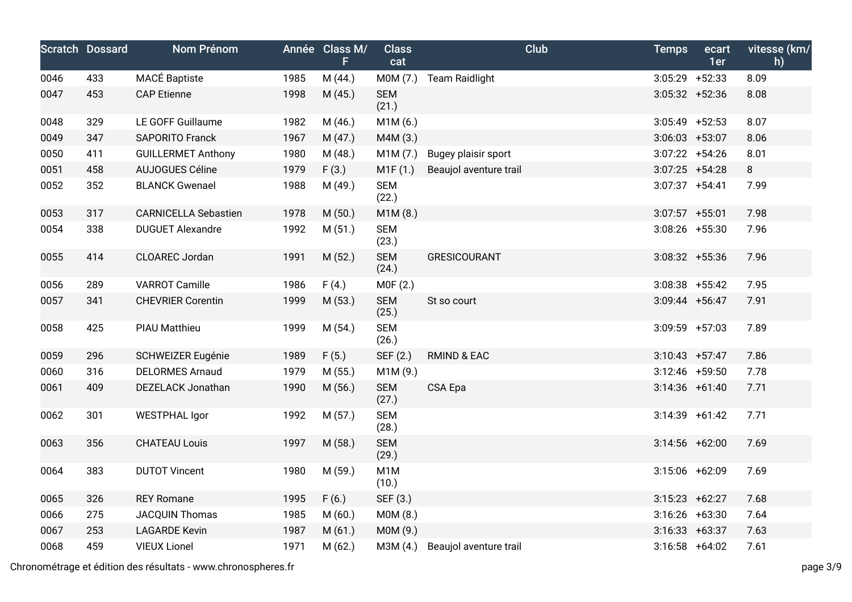|      | <b>Scratch Dossard</b> | <b>Nom Prénom</b>           |      | Année Class M/<br>F. | <b>Class</b><br>cat       | <b>Club</b>            | <b>Temps</b>     | ecart<br>1er | vitesse (km/<br>h) |
|------|------------------------|-----------------------------|------|----------------------|---------------------------|------------------------|------------------|--------------|--------------------|
| 0046 | 433                    | <b>MACÉ Baptiste</b>        | 1985 | M(44.)               | M0M (7.)                  | <b>Team Raidlight</b>  | $3:05:29$ +52:33 |              | 8.09               |
| 0047 | 453                    | <b>CAP</b> Etienne          | 1998 | M(45.)               | <b>SEM</b><br>(21.)       |                        | $3:05:32 +52:36$ |              | 8.08               |
| 0048 | 329                    | LE GOFF Guillaume           | 1982 | M (46.)              | M1M(6.)                   |                        | $3:05:49$ +52:53 |              | 8.07               |
| 0049 | 347                    | <b>SAPORITO Franck</b>      | 1967 | M(47.)               | M4M (3.)                  |                        | $3:06:03$ +53:07 |              | 8.06               |
| 0050 | 411                    | <b>GUILLERMET Anthony</b>   | 1980 | M(48.)               | M1M (7.)                  | Bugey plaisir sport    | $3:07:22 +54:26$ |              | 8.01               |
| 0051 | 458                    | <b>AUJOGUES Céline</b>      | 1979 | F(3.)                | M1F(1.)                   | Beaujol aventure trail | $3:07:25$ +54:28 |              | 8                  |
| 0052 | 352                    | <b>BLANCK Gwenael</b>       | 1988 | M (49.)              | <b>SEM</b><br>(22.)       |                        | $3:07:37$ +54:41 |              | 7.99               |
| 0053 | 317                    | <b>CARNICELLA Sebastien</b> | 1978 | M (50.)              | M1M (8.)                  |                        | $3:07:57$ +55:01 |              | 7.98               |
| 0054 | 338                    | <b>DUGUET Alexandre</b>     | 1992 | M(51.)               | <b>SEM</b><br>(23.)       |                        | $3:08:26$ +55:30 |              | 7.96               |
| 0055 | 414                    | CLOAREC Jordan              | 1991 | M (52.)              | <b>SEM</b><br>(24.)       | <b>GRESICOURANT</b>    | $3:08:32 +55:36$ |              | 7.96               |
| 0056 | 289                    | <b>VARROT Camille</b>       | 1986 | F(4.)                | M0F (2.)                  |                        | $3:08:38$ +55:42 |              | 7.95               |
| 0057 | 341                    | <b>CHEVRIER Corentin</b>    | 1999 | M(53.)               | <b>SEM</b><br>(25.)       | St so court            | $3:09:44$ +56:47 |              | 7.91               |
| 0058 | 425                    | <b>PIAU Matthieu</b>        | 1999 | M (54.)              | <b>SEM</b><br>(26.)       |                        | $3:09:59$ +57:03 |              | 7.89               |
| 0059 | 296                    | <b>SCHWEIZER Eugénie</b>    | 1989 | F(5.)                | SEF (2.)                  | <b>RMIND &amp; EAC</b> | $3:10:43$ +57:47 |              | 7.86               |
| 0060 | 316                    | <b>DELORMES Arnaud</b>      | 1979 | M (55.)              | M1M (9.)                  |                        | $3:12:46$ +59:50 |              | 7.78               |
| 0061 | 409                    | DEZELACK Jonathan           | 1990 | M (56.)              | <b>SEM</b><br>(27.)       | CSA Epa                | $3:14:36$ +61:40 |              | 7.71               |
| 0062 | 301                    | <b>WESTPHAL Igor</b>        | 1992 | M(57.)               | <b>SEM</b><br>(28.)       |                        | $3:14:39$ +61:42 |              | 7.71               |
| 0063 | 356                    | <b>CHATEAU Louis</b>        | 1997 | M (58.)              | <b>SEM</b><br>(29.)       |                        | $3:14:56$ +62:00 |              | 7.69               |
| 0064 | 383                    | <b>DUTOT Vincent</b>        | 1980 | M (59.)              | M <sub>1</sub> M<br>(10.) |                        | $3:15:06$ +62:09 |              | 7.69               |
| 0065 | 326                    | <b>REY Romane</b>           | 1995 | F(6.)                | SEF (3.)                  |                        | $3:15:23 +62:27$ |              | 7.68               |
| 0066 | 275                    | <b>JACQUIN Thomas</b>       | 1985 | M(60.)               | M0M (8.)                  |                        | $3:16:26$ +63:30 |              | 7.64               |
| 0067 | 253                    | <b>LAGARDE Kevin</b>        | 1987 | M(61.)               | M0M (9.)                  |                        | $3:16:33 +63:37$ |              | 7.63               |
| 0068 | 459                    | <b>VIEUX Lionel</b>         | 1971 | M(62.)               | M3M (4.)                  | Beaujol aventure trail | $3:16:58$ +64:02 |              | 7.61               |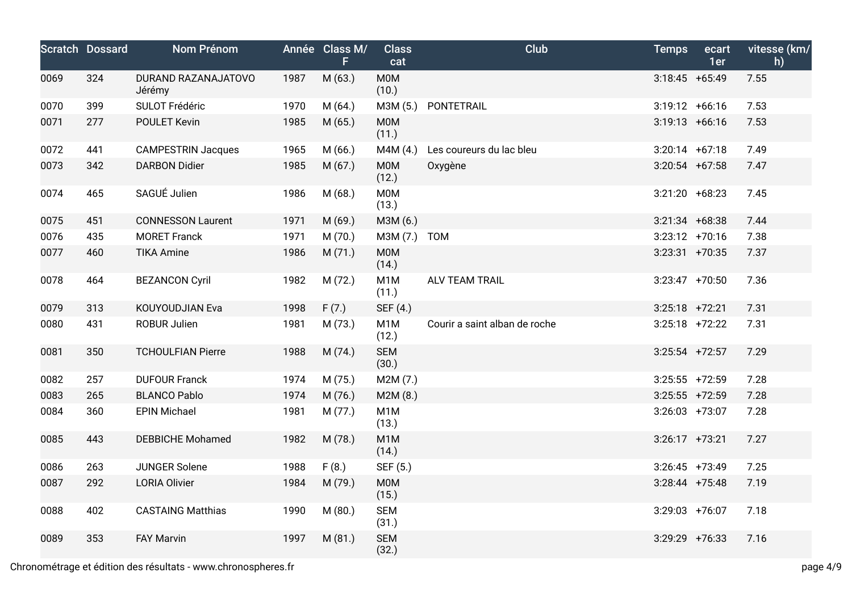|      | <b>Scratch Dossard</b> | Nom Prénom                    |      | Année Class M/<br>F | <b>Class</b><br>cat       | <b>Club</b>                   | <b>Temps</b>     | ecart<br>1er | vitesse (km/<br>h) |
|------|------------------------|-------------------------------|------|---------------------|---------------------------|-------------------------------|------------------|--------------|--------------------|
| 0069 | 324                    | DURAND RAZANAJATOVO<br>Jérémy | 1987 | M (63.)             | M0M<br>(10.)              |                               | $3:18:45 +65:49$ |              | 7.55               |
| 0070 | 399                    | SULOT Frédéric                | 1970 | M(64.)              | M3M (5.)                  | PONTETRAIL                    | $3:19:12 +66:16$ |              | 7.53               |
| 0071 | 277                    | POULET Kevin                  | 1985 | M(65.)              | <b>MOM</b><br>(11.)       |                               | $3:19:13 +66:16$ |              | 7.53               |
| 0072 | 441                    | <b>CAMPESTRIN Jacques</b>     | 1965 | M(66.)              | M4M (4.)                  | Les coureurs du lac bleu      | $3:20:14$ +67:18 |              | 7.49               |
| 0073 | 342                    | <b>DARBON Didier</b>          | 1985 | M(67.)              | M0M<br>(12.)              | Oxygène                       | $3:20:54$ +67:58 |              | 7.47               |
| 0074 | 465                    | SAGUÉ Julien                  | 1986 | M(68.)              | M0M<br>(13.)              |                               | $3:21:20 +68:23$ |              | 7.45               |
| 0075 | 451                    | <b>CONNESSON Laurent</b>      | 1971 | M (69.)             | M3M (6.)                  |                               | $3:21:34$ +68:38 |              | 7.44               |
| 0076 | 435                    | <b>MORET Franck</b>           | 1971 | M (70.)             | M3M (7.)                  | <b>TOM</b>                    | $3:23:12$ +70:16 |              | 7.38               |
| 0077 | 460                    | <b>TIKA Amine</b>             | 1986 | M(71.)              | <b>MOM</b><br>(14.)       |                               | $3:23:31$ +70:35 |              | 7.37               |
| 0078 | 464                    | <b>BEZANCON Cyril</b>         | 1982 | M (72.)             | M <sub>1</sub> M<br>(11.) | <b>ALV TEAM TRAIL</b>         | $3:23:47$ +70:50 |              | 7.36               |
| 0079 | 313                    | KOUYOUDJIAN Eva               | 1998 | F(7.)               | SEF (4.)                  |                               | $3:25:18$ +72:21 |              | 7.31               |
| 0080 | 431                    | ROBUR Julien                  | 1981 | M (73.)             | M <sub>1</sub> M<br>(12.) | Courir a saint alban de roche | $3:25:18$ +72:22 |              | 7.31               |
| 0081 | 350                    | <b>TCHOULFIAN Pierre</b>      | 1988 | M (74.)             | <b>SEM</b><br>(30.)       |                               | $3:25:54$ +72:57 |              | 7.29               |
| 0082 | 257                    | <b>DUFOUR Franck</b>          | 1974 | M (75.)             | M2M (7.)                  |                               | $3:25:55$ +72:59 |              | 7.28               |
| 0083 | 265                    | <b>BLANCO Pablo</b>           | 1974 | M (76.)             | M2M (8.)                  |                               | $3:25:55$ +72:59 |              | 7.28               |
| 0084 | 360                    | <b>EPIN Michael</b>           | 1981 | M (77.)             | M <sub>1</sub> M<br>(13.) |                               | $3:26:03$ +73:07 |              | 7.28               |
| 0085 | 443                    | <b>DEBBICHE Mohamed</b>       | 1982 | M (78.)             | M <sub>1</sub> M<br>(14.) |                               | $3:26:17$ +73:21 |              | 7.27               |
| 0086 | 263                    | <b>JUNGER Solene</b>          | 1988 | F(8.)               | SEF (5.)                  |                               | $3:26:45$ +73:49 |              | 7.25               |
| 0087 | 292                    | <b>LORIA Olivier</b>          | 1984 | M (79.)             | <b>M0M</b><br>(15.)       |                               | $3:28:44$ +75:48 |              | 7.19               |
| 0088 | 402                    | <b>CASTAING Matthias</b>      | 1990 | M(80.)              | <b>SEM</b><br>(31.)       |                               | $3:29:03$ +76:07 |              | 7.18               |
| 0089 | 353                    | <b>FAY Marvin</b>             | 1997 | M (81.)             | <b>SEM</b><br>(32.)       |                               | $3:29:29$ +76:33 |              | 7.16               |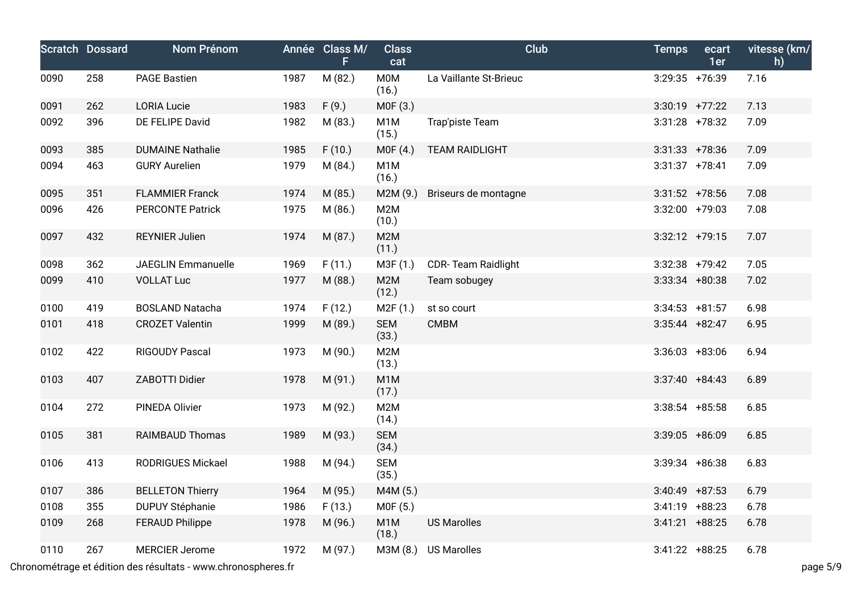|      | <b>Scratch Dossard</b> | Nom Prénom                |      | Année Class M/<br>F | <b>Class</b><br>cat       | <b>Club</b>               | <b>Temps</b>      | ecart<br>1er | vitesse (km/<br>h) |
|------|------------------------|---------------------------|------|---------------------|---------------------------|---------------------------|-------------------|--------------|--------------------|
| 0090 | 258                    | <b>PAGE Bastien</b>       | 1987 | M (82.)             | <b>M0M</b><br>(16.)       | La Vaillante St-Brieuc    | 3:29:35 +76:39    |              | 7.16               |
| 0091 | 262                    | <b>LORIA Lucie</b>        | 1983 | F(9.)               | M0F (3.)                  |                           | $3:30:19$ +77:22  |              | 7.13               |
| 0092 | 396                    | DE FELIPE David           | 1982 | M (83.)             | M <sub>1</sub> M<br>(15.) | Trap'piste Team           | $3:31:28$ +78:32  |              | 7.09               |
| 0093 | 385                    | <b>DUMAINE Nathalie</b>   | 1985 | F(10.)              | MOF(4.)                   | <b>TEAM RAIDLIGHT</b>     | $3:31:33 + 78:36$ |              | 7.09               |
| 0094 | 463                    | <b>GURY Aurelien</b>      | 1979 | M (84.)             | M <sub>1</sub> M<br>(16.) |                           | $3:31:37$ +78:41  |              | 7.09               |
| 0095 | 351                    | <b>FLAMMIER Franck</b>    | 1974 | M (85.)             | M2M(9.)                   | Briseurs de montagne      | $3:31:52$ +78:56  |              | 7.08               |
| 0096 | 426                    | <b>PERCONTE Patrick</b>   | 1975 | M (86.)             | M2M<br>(10.)              |                           | $3:32:00$ +79:03  |              | 7.08               |
| 0097 | 432                    | <b>REYNIER Julien</b>     | 1974 | M (87.)             | M2M<br>(11.)              |                           | $3:32:12$ +79:15  |              | 7.07               |
| 0098 | 362                    | <b>JAEGLIN Emmanuelle</b> | 1969 | F(11.)              | M3F (1.)                  | <b>CDR-Team Raidlight</b> | $3:32:38$ +79:42  |              | 7.05               |
| 0099 | 410                    | <b>VOLLAT Luc</b>         | 1977 | M (88.)             | M2M<br>(12.)              | Team sobugey              | $3:33:34$ +80:38  |              | 7.02               |
| 0100 | 419                    | <b>BOSLAND Natacha</b>    | 1974 | F(12.)              | M2F(1.)                   | st so court               | $3:34:53$ +81:57  |              | 6.98               |
| 0101 | 418                    | <b>CROZET Valentin</b>    | 1999 | M (89.)             | <b>SEM</b><br>(33.)       | <b>CMBM</b>               | $3:35:44$ +82:47  |              | 6.95               |
| 0102 | 422                    | RIGOUDY Pascal            | 1973 | M (90.)             | M2M<br>(13.)              |                           | $3:36:03 + 83:06$ |              | 6.94               |
| 0103 | 407                    | ZABOTTI Didier            | 1978 | M (91.)             | M <sub>1</sub> M<br>(17.) |                           | $3:37:40 + 84:43$ |              | 6.89               |
| 0104 | 272                    | PINEDA Olivier            | 1973 | M (92.)             | M2M<br>(14.)              |                           | $3:38:54$ +85:58  |              | 6.85               |
| 0105 | 381                    | <b>RAIMBAUD Thomas</b>    | 1989 | M (93.)             | <b>SEM</b><br>(34.)       |                           | $3:39:05$ +86:09  |              | 6.85               |
| 0106 | 413                    | RODRIGUES Mickael         | 1988 | M (94.)             | <b>SEM</b><br>(35.)       |                           | $3:39:34$ +86:38  |              | 6.83               |
| 0107 | 386                    | <b>BELLETON Thierry</b>   | 1964 | M (95.)             | M4M (5.)                  |                           | $3:40:49$ +87:53  |              | 6.79               |
| 0108 | 355                    | DUPUY Stéphanie           | 1986 | F(13.)              | MOF(5.)                   |                           | $3:41:19$ +88:23  |              | 6.78               |
| 0109 | 268                    | <b>FERAUD Philippe</b>    | 1978 | M (96.)             | M <sub>1</sub> M<br>(18.) | <b>US Marolles</b>        | $3:41:21$ +88:25  |              | 6.78               |
| 0110 | 267                    | <b>MERCIER Jerome</b>     | 1972 | M (97.)             | M3M (8.)                  | <b>US Marolles</b>        | $3:41:22 + 88:25$ |              | 6.78               |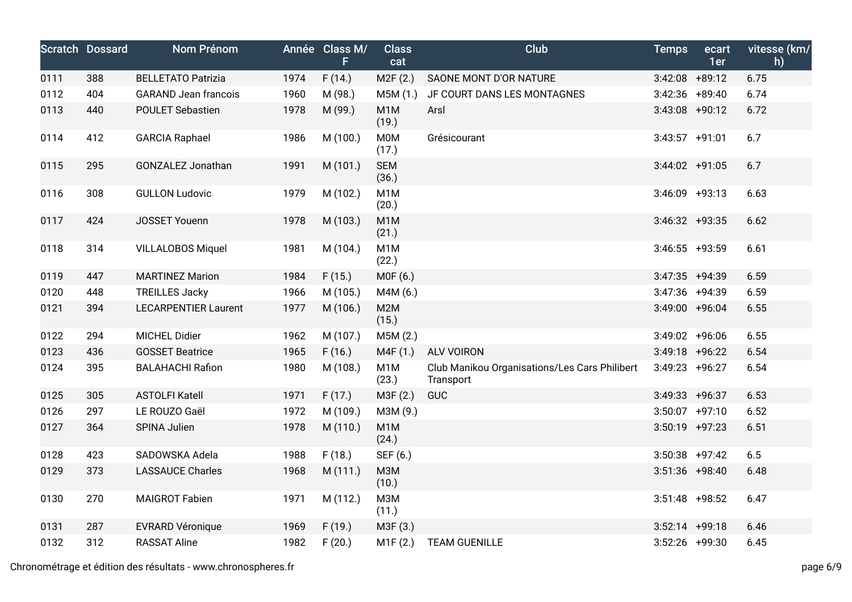|      | <b>Scratch Dossard</b> | Nom Prénom                  |      | Année Class M/<br>F | <b>Class</b><br>cat       | Club                                                       | <b>Temps</b>      | ecart<br>1er | vitesse (km/<br>h) |
|------|------------------------|-----------------------------|------|---------------------|---------------------------|------------------------------------------------------------|-------------------|--------------|--------------------|
| 0111 | 388                    | <b>BELLETATO Patrizia</b>   | 1974 | F(14.)              | M2F (2.)                  | SAONE MONT D'OR NATURE                                     | $3:42:08$ +89:12  |              | 6.75               |
| 0112 | 404                    | <b>GARAND Jean francois</b> | 1960 | M (98.)             | M5M (1.)                  | JF COURT DANS LES MONTAGNES                                | $3:42:36$ +89:40  |              | 6.74               |
| 0113 | 440                    | <b>POULET Sebastien</b>     | 1978 | M (99.)             | M <sub>1</sub> M<br>(19.) | Arsl                                                       | $3:43:08$ +90:12  |              | 6.72               |
| 0114 | 412                    | <b>GARCIA Raphael</b>       | 1986 | M (100.)            | M0M<br>(17.)              | Grésicourant                                               | $3:43:57$ +91:01  |              | 6.7                |
| 0115 | 295                    | GONZALEZ Jonathan           | 1991 | M (101.)            | <b>SEM</b><br>(36.)       |                                                            | $3:44:02 +91:05$  |              | 6.7                |
| 0116 | 308                    | <b>GULLON Ludovic</b>       | 1979 | M (102.)            | M <sub>1</sub> M<br>(20.) |                                                            | $3:46:09$ +93:13  |              | 6.63               |
| 0117 | 424                    | <b>JOSSET Youenn</b>        | 1978 | M (103.)            | M <sub>1</sub> M<br>(21.) |                                                            | $3:46:32 +93:35$  |              | 6.62               |
| 0118 | 314                    | <b>VILLALOBOS Miquel</b>    | 1981 | M (104.)            | M <sub>1</sub> M<br>(22.) |                                                            | $3:46:55$ +93:59  |              | 6.61               |
| 0119 | 447                    | <b>MARTINEZ Marion</b>      | 1984 | F(15.)              | M0F (6.)                  |                                                            | $3:47:35$ +94:39  |              | 6.59               |
| 0120 | 448                    | <b>TREILLES Jacky</b>       | 1966 | M (105.)            | M4M (6.)                  |                                                            | $3:47:36$ +94:39  |              | 6.59               |
| 0121 | 394                    | <b>LECARPENTIER Laurent</b> | 1977 | M (106.)            | M2M<br>(15.)              |                                                            | $3:49:00 + 96:04$ |              | 6.55               |
| 0122 | 294                    | <b>MICHEL Didier</b>        | 1962 | M (107.)            | M5M (2.)                  |                                                            | $3:49:02$ +96:06  |              | 6.55               |
| 0123 | 436                    | <b>GOSSET Beatrice</b>      | 1965 | F(16.)              | M4F (1.)                  | <b>ALV VOIRON</b>                                          | $3:49:18$ +96:22  |              | 6.54               |
| 0124 | 395                    | <b>BALAHACHI Rafion</b>     | 1980 | M (108.)            | M1M<br>(23.)              | Club Manikou Organisations/Les Cars Philibert<br>Transport | $3:49:23 +96:27$  |              | 6.54               |
| 0125 | 305                    | <b>ASTOLFI Katell</b>       | 1971 | F(17.)              | M3F (2.)                  | <b>GUC</b>                                                 | $3:49:33 +96:37$  |              | 6.53               |
| 0126 | 297                    | LE ROUZO Gaël               | 1972 | M (109.)            | M3M (9.)                  |                                                            | $3:50:07$ +97:10  |              | 6.52               |
| 0127 | 364                    | SPINA Julien                | 1978 | M (110.)            | M <sub>1</sub> M<br>(24.) |                                                            | $3:50:19$ +97:23  |              | 6.51               |
| 0128 | 423                    | SADOWSKA Adela              | 1988 | F(18.)              | SEF (6.)                  |                                                            | $3:50:38$ +97:42  |              | 6.5                |
| 0129 | 373                    | <b>LASSAUCE Charles</b>     | 1968 | M (111.)            | МЗМ<br>(10.)              |                                                            | $3:51:36$ +98:40  |              | 6.48               |
| 0130 | 270                    | <b>MAIGROT Fabien</b>       | 1971 | M (112.)            | M3M<br>(11.)              |                                                            | $3:51:48$ +98:52  |              | 6.47               |
| 0131 | 287                    | <b>EVRARD Véronique</b>     | 1969 | F(19.)              | M3F (3.)                  |                                                            | $3:52:14$ +99:18  |              | 6.46               |
| 0132 | 312                    | <b>RASSAT Aline</b>         | 1982 | F(20.)              | M1F(2.)                   | <b>TEAM GUENILLE</b>                                       | $3:52:26$ +99:30  |              | 6.45               |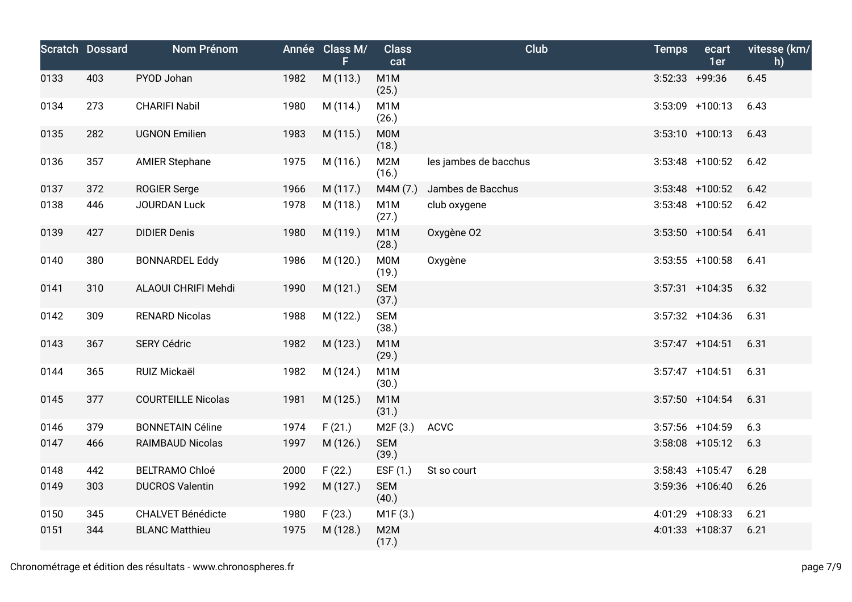|      | <b>Scratch Dossard</b> | Nom Prénom                |      | Année Class M/<br>F. | <b>Class</b><br>cat       | <b>Club</b>           | <b>Temps</b>     | ecart<br>1er       | vitesse (km/<br>h) |
|------|------------------------|---------------------------|------|----------------------|---------------------------|-----------------------|------------------|--------------------|--------------------|
| 0133 | 403                    | PYOD Johan                | 1982 | M (113.)             | M <sub>1</sub> M<br>(25.) |                       | $3:52:33$ +99:36 |                    | 6.45               |
| 0134 | 273                    | <b>CHARIFI Nabil</b>      | 1980 | M (114.)             | M <sub>1</sub> M<br>(26.) |                       |                  | $3:53:09$ +100:13  | 6.43               |
| 0135 | 282                    | <b>UGNON Emilien</b>      | 1983 | M (115.)             | <b>M0M</b><br>(18.)       |                       |                  | $3:53:10 + 100:13$ | 6.43               |
| 0136 | 357                    | <b>AMIER Stephane</b>     | 1975 | M (116.)             | M2M<br>(16.)              | les jambes de bacchus |                  | $3:53:48$ +100:52  | 6.42               |
| 0137 | 372                    | <b>ROGIER Serge</b>       | 1966 | M (117.)             | M4M (7.)                  | Jambes de Bacchus     |                  | $3:53:48$ +100:52  | 6.42               |
| 0138 | 446                    | <b>JOURDAN Luck</b>       | 1978 | M (118.)             | M <sub>1</sub> M<br>(27.) | club oxygene          |                  | $3:53:48$ +100:52  | 6.42               |
| 0139 | 427                    | <b>DIDIER Denis</b>       | 1980 | M (119.)             | M <sub>1</sub> M<br>(28.) | Oxygène O2            |                  | $3:53:50$ +100:54  | 6.41               |
| 0140 | 380                    | <b>BONNARDEL Eddy</b>     | 1986 | M (120.)             | M0M<br>(19.)              | Oxygène               |                  | $3:53:55$ +100:58  | 6.41               |
| 0141 | 310                    | ALAOUI CHRIFI Mehdi       | 1990 | M (121.)             | <b>SEM</b><br>(37.)       |                       |                  | $3:57:31 + 104:35$ | 6.32               |
| 0142 | 309                    | <b>RENARD Nicolas</b>     | 1988 | M (122.)             | <b>SEM</b><br>(38.)       |                       |                  | $3:57:32 + 104:36$ | 6.31               |
| 0143 | 367                    | <b>SERY Cédric</b>        | 1982 | M (123.)             | M <sub>1</sub> M<br>(29.) |                       |                  | $3:57:47$ +104:51  | 6.31               |
| 0144 | 365                    | RUIZ Mickaël              | 1982 | M (124.)             | M <sub>1</sub> M<br>(30.) |                       |                  | $3:57:47$ +104:51  | 6.31               |
| 0145 | 377                    | <b>COURTEILLE Nicolas</b> | 1981 | M (125.)             | M <sub>1</sub> M<br>(31.) |                       |                  | $3:57:50$ +104:54  | 6.31               |
| 0146 | 379                    | <b>BONNETAIN Céline</b>   | 1974 | F(21.)               | M2F(3.)                   | <b>ACVC</b>           |                  | $3:57:56$ +104:59  | 6.3                |
| 0147 | 466                    | <b>RAIMBAUD Nicolas</b>   | 1997 | M (126.)             | <b>SEM</b><br>(39.)       |                       |                  | $3:58:08$ +105:12  | 6.3                |
| 0148 | 442                    | <b>BELTRAMO Chloé</b>     | 2000 | F(22.)               | ESF (1.)                  | St so court           |                  | $3:58:43$ +105:47  | 6.28               |
| 0149 | 303                    | <b>DUCROS Valentin</b>    | 1992 | M (127.)             | <b>SEM</b><br>(40.)       |                       |                  | $3:59:36$ +106:40  | 6.26               |
| 0150 | 345                    | <b>CHALVET Bénédicte</b>  | 1980 | F(23.)               | M1F(3.)                   |                       |                  | 4:01:29 +108:33    | 6.21               |
| 0151 | 344                    | <b>BLANC Matthieu</b>     | 1975 | M (128.)             | M2M<br>(17.)              |                       |                  | 4:01:33 +108:37    | 6.21               |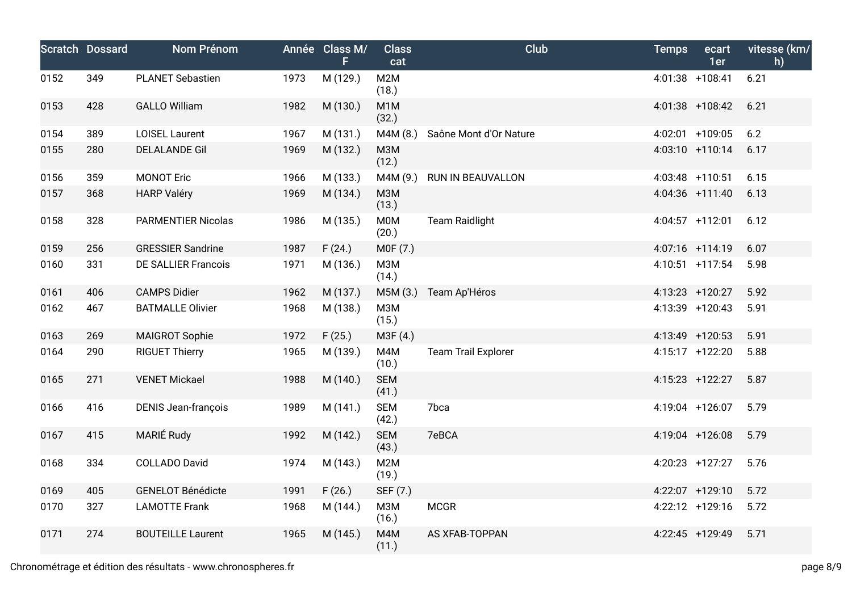|      | <b>Scratch Dossard</b> | Nom Prénom                 |      | Année Class M/<br>F | <b>Class</b><br>cat       | Club                       | <b>Temps</b> | ecart<br>1er    | vitesse (km/<br>h) |
|------|------------------------|----------------------------|------|---------------------|---------------------------|----------------------------|--------------|-----------------|--------------------|
| 0152 | 349                    | <b>PLANET Sebastien</b>    | 1973 | M (129.)            | M2M<br>(18.)              |                            |              | 4:01:38 +108:41 | 6.21               |
| 0153 | 428                    | <b>GALLO William</b>       | 1982 | M (130.)            | M <sub>1</sub> M<br>(32.) |                            |              | 4:01:38 +108:42 | 6.21               |
| 0154 | 389                    | <b>LOISEL Laurent</b>      | 1967 | M (131.)            | M4M (8.)                  | Saône Mont d'Or Nature     |              | 4:02:01 +109:05 | 6.2                |
| 0155 | 280                    | <b>DELALANDE Gil</b>       | 1969 | M (132.)            | M3M<br>(12.)              |                            |              | 4:03:10 +110:14 | 6.17               |
| 0156 | 359                    | <b>MONOT Eric</b>          | 1966 | M (133.)            | M4M (9.)                  | RUN IN BEAUVALLON          |              | 4:03:48 +110:51 | 6.15               |
| 0157 | 368                    | <b>HARP Valéry</b>         | 1969 | M (134.)            | M3M<br>(13.)              |                            |              | 4:04:36 +111:40 | 6.13               |
| 0158 | 328                    | <b>PARMENTIER Nicolas</b>  | 1986 | M (135.)            | M0M<br>(20.)              | <b>Team Raidlight</b>      |              | 4:04:57 +112:01 | 6.12               |
| 0159 | 256                    | <b>GRESSIER Sandrine</b>   | 1987 | F(24.)              | M0F (7.)                  |                            |              | 4:07:16 +114:19 | 6.07               |
| 0160 | 331                    | <b>DE SALLIER Francois</b> | 1971 | M (136.)            | <b>МЗМ</b><br>(14.)       |                            |              | 4:10:51 +117:54 | 5.98               |
| 0161 | 406                    | <b>CAMPS Didier</b>        | 1962 | M (137.)            | M5M (3.)                  | Team Ap'Héros              |              | 4:13:23 +120:27 | 5.92               |
| 0162 | 467                    | <b>BATMALLE Olivier</b>    | 1968 | M (138.)            | M3M<br>(15.)              |                            |              | 4:13:39 +120:43 | 5.91               |
| 0163 | 269                    | <b>MAIGROT Sophie</b>      | 1972 | F(25.)              | M3F (4.)                  |                            |              | 4:13:49 +120:53 | 5.91               |
| 0164 | 290                    | <b>RIGUET Thierry</b>      | 1965 | M (139.)            | M4M<br>(10.)              | <b>Team Trail Explorer</b> |              | 4:15:17 +122:20 | 5.88               |
| 0165 | 271                    | <b>VENET Mickael</b>       | 1988 | M (140.)            | <b>SEM</b><br>(41.)       |                            |              | 4:15:23 +122:27 | 5.87               |
| 0166 | 416                    | <b>DENIS Jean-françois</b> | 1989 | M (141.)            | <b>SEM</b><br>(42.)       | 7bca                       |              | 4:19:04 +126:07 | 5.79               |
| 0167 | 415                    | MARIÉ Rudy                 | 1992 | M (142.)            | <b>SEM</b><br>(43.)       | 7eBCA                      |              | 4:19:04 +126:08 | 5.79               |
| 0168 | 334                    | <b>COLLADO David</b>       | 1974 | M (143.)            | M2M<br>(19.)              |                            |              | 4:20:23 +127:27 | 5.76               |
| 0169 | 405                    | <b>GENELOT Bénédicte</b>   | 1991 | F(26.)              | SEF (7.)                  |                            |              | 4:22:07 +129:10 | 5.72               |
| 0170 | 327                    | <b>LAMOTTE Frank</b>       | 1968 | M (144.)            | МЗМ<br>(16.)              | <b>MCGR</b>                |              | 4:22:12 +129:16 | 5.72               |
| 0171 | 274                    | <b>BOUTEILLE Laurent</b>   | 1965 | M (145.)            | M4M<br>(11.)              | AS XFAB-TOPPAN             |              | 4:22:45 +129:49 | 5.71               |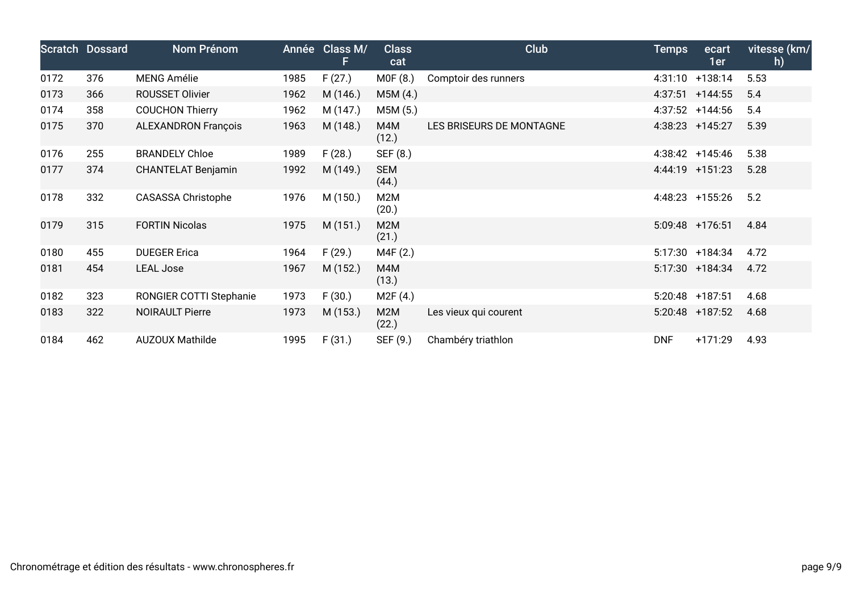|      | Scratch Dossard | Nom Prénom                 |      | Année Class M/<br>F. | <b>Class</b><br>cat       | Club                     | <b>Temps</b> | ecart<br>1er      | vitesse (km/<br>h) |
|------|-----------------|----------------------------|------|----------------------|---------------------------|--------------------------|--------------|-------------------|--------------------|
| 0172 | 376             | <b>MENG Amélie</b>         | 1985 | F(27.)               | MOF(8.)                   | Comptoir des runners     |              | 4:31:10 +138:14   | 5.53               |
| 0173 | 366             | ROUSSET Olivier            | 1962 | M (146.)             | M5M(4.)                   |                          |              | $4:37:51$ +144:55 | 5.4                |
| 0174 | 358             | <b>COUCHON Thierry</b>     | 1962 | M (147.)             | M5M (5.)                  |                          |              | $4:37:52$ +144:56 | 5.4                |
| 0175 | 370             | <b>ALEXANDRON François</b> | 1963 | M (148.)             | M4M<br>(12.)              | LES BRISEURS DE MONTAGNE |              | 4:38:23 +145:27   | 5.39               |
| 0176 | 255             | <b>BRANDELY Chloe</b>      | 1989 | F(28.)               | SEF (8.)                  |                          |              | $4:38:42$ +145:46 | 5.38               |
| 0177 | 374             | <b>CHANTELAT Benjamin</b>  | 1992 | M (149.)             | <b>SEM</b><br>(44.)       |                          |              | 4:44:19 +151:23   | 5.28               |
| 0178 | 332             | <b>CASASSA Christophe</b>  | 1976 | M (150.)             | M <sub>2</sub> M<br>(20.) |                          |              | 4:48:23 +155:26   | 5.2                |
| 0179 | 315             | <b>FORTIN Nicolas</b>      | 1975 | M(151.)              | M2M<br>(21.)              |                          |              | 5:09:48 +176:51   | 4.84               |
| 0180 | 455             | <b>DUEGER Erica</b>        | 1964 | F(29.)               | M4F (2.)                  |                          |              | 5:17:30 +184:34   | 4.72               |
| 0181 | 454             | <b>LEAL Jose</b>           | 1967 | M (152.)             | M4M<br>(13.)              |                          |              | 5:17:30 +184:34   | 4.72               |
| 0182 | 323             | RONGIER COTTI Stephanie    | 1973 | F(30.)               | M2F(4.)                   |                          |              | 5:20:48 +187:51   | 4.68               |
| 0183 | 322             | <b>NOIRAULT Pierre</b>     | 1973 | M (153.)             | M2M<br>(22.)              | Les vieux qui courent    |              | 5:20:48 +187:52   | 4.68               |
| 0184 | 462             | <b>AUZOUX Mathilde</b>     | 1995 | F(31.)               | SEF (9.)                  | Chambéry triathlon       | <b>DNF</b>   | $+171:29$         | 4.93               |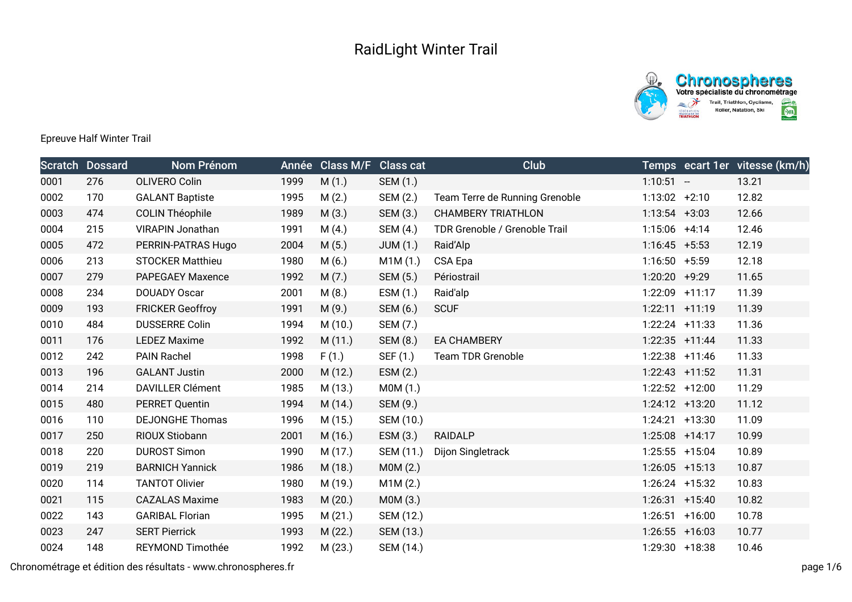



## Epreuve Half Winter Trail

|      | <b>Scratch Dossard</b> | Nom Prénom              |      | Année Class M/F Class cat |                 | Club                           |                   | Temps ecart 1er vitesse (km/h) |
|------|------------------------|-------------------------|------|---------------------------|-----------------|--------------------------------|-------------------|--------------------------------|
| 0001 | 276                    | OLIVERO Colin           | 1999 | M(1.)                     | SEM (1.)        |                                | $1:10:51 -$       | 13.21                          |
| 0002 | 170                    | <b>GALANT Baptiste</b>  | 1995 | M(2.)                     | SEM (2.)        | Team Terre de Running Grenoble | $1:13:02 +2:10$   | 12.82                          |
| 0003 | 474                    | <b>COLIN Théophile</b>  | 1989 | M(3.)                     | SEM (3.)        | <b>CHAMBERY TRIATHLON</b>      | $1:13:54$ +3:03   | 12.66                          |
| 0004 | 215                    | VIRAPIN Jonathan        | 1991 | M(4.)                     | SEM (4.)        | TDR Grenoble / Grenoble Trail  | $1:15:06$ +4:14   | 12.46                          |
| 0005 | 472                    | PERRIN-PATRAS Hugo      | 2004 | M(5.)                     | <b>JUM (1.)</b> | Raid'Alp                       | $1:16:45 + 5:53$  | 12.19                          |
| 0006 | 213                    | <b>STOCKER Matthieu</b> | 1980 | M(6.)                     | M1M(1.)         | CSA Epa                        | $1:16:50 + 5:59$  | 12.18                          |
| 0007 | 279                    | PAPEGAEY Maxence        | 1992 | M(7.)                     | SEM (5.)        | Périostrail                    | 1:20:20 +9:29     | 11.65                          |
| 0008 | 234                    | DOUADY Oscar            | 2001 | M(8.)                     | ESM (1.)        | Raid'alp                       | 1:22:09 +11:17    | 11.39                          |
| 0009 | 193                    | <b>FRICKER Geoffroy</b> | 1991 | M(9.)                     | SEM (6.)        | <b>SCUF</b>                    | $1:22:11 + 11:19$ | 11.39                          |
| 0010 | 484                    | <b>DUSSERRE Colin</b>   | 1994 | M (10.)                   | SEM (7.)        |                                | 1:22:24 +11:33    | 11.36                          |
| 0011 | 176                    | <b>LEDEZ Maxime</b>     | 1992 | M(11.)                    | SEM (8.)        | <b>EA CHAMBERY</b>             | $1:22:35$ +11:44  | 11.33                          |
| 0012 | 242                    | PAIN Rachel             | 1998 | F(1.)                     | SEF (1.)        | <b>Team TDR Grenoble</b>       | $1:22:38$ +11:46  | 11.33                          |
| 0013 | 196                    | <b>GALANT Justin</b>    | 2000 | M(12.)                    | ESM (2.)        |                                | $1:22:43$ +11:52  | 11.31                          |
| 0014 | 214                    | <b>DAVILLER Clément</b> | 1985 | M (13.)                   | MOM(1.)         |                                | $1:22:52$ +12:00  | 11.29                          |
| 0015 | 480                    | <b>PERRET Quentin</b>   | 1994 | M (14.)                   | SEM (9.)        |                                | $1:24:12 +13:20$  | 11.12                          |
| 0016 | 110                    | <b>DEJONGHE Thomas</b>  | 1996 | M (15.)                   | SEM (10.)       |                                | $1:24:21$ +13:30  | 11.09                          |
| 0017 | 250                    | RIOUX Stiobann          | 2001 | M (16.)                   | ESM(3.)         | <b>RAIDALP</b>                 | $1:25:08$ +14:17  | 10.99                          |
| 0018 | 220                    | <b>DUROST Simon</b>     | 1990 | M (17.)                   | SEM (11.)       | Dijon Singletrack              | $1:25:55$ +15:04  | 10.89                          |
| 0019 | 219                    | <b>BARNICH Yannick</b>  | 1986 | M (18.)                   | MOM(2.)         |                                | $1:26:05$ +15:13  | 10.87                          |
| 0020 | 114                    | <b>TANTOT Olivier</b>   | 1980 | M (19.)                   | M1M(2.)         |                                | $1:26:24$ +15:32  | 10.83                          |
| 0021 | 115                    | <b>CAZALAS Maxime</b>   | 1983 | M(20.)                    | MOM(3.)         |                                | $1:26:31 + 15:40$ | 10.82                          |
| 0022 | 143                    | <b>GARIBAL Florian</b>  | 1995 | M(21.)                    | SEM (12.)       |                                | $1:26:51$ +16:00  | 10.78                          |
| 0023 | 247                    | <b>SERT Pierrick</b>    | 1993 | M(22.)                    | SEM (13.)       |                                | $1:26:55$ +16:03  | 10.77                          |
| 0024 | 148                    | REYMOND Timothée        | 1992 | M(23.)                    | SEM (14.)       |                                | 1:29:30 +18:38    | 10.46                          |

Chronométrage et édition des résultats - www.chronospheres.fr page 1/6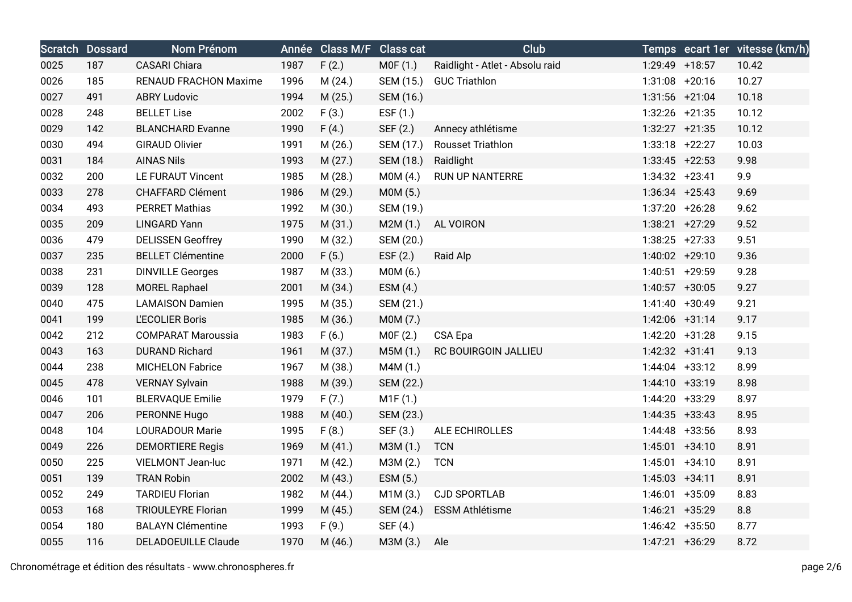|      | <b>Scratch Dossard</b> | Nom Prénom                   |      | Année Class M/F Class cat |            | <b>Club</b>                     |                   | Temps ecart 1er vitesse (km/h) |
|------|------------------------|------------------------------|------|---------------------------|------------|---------------------------------|-------------------|--------------------------------|
| 0025 | 187                    | <b>CASARI</b> Chiara         | 1987 | F(2.)                     | MOF(1.)    | Raidlight - Atlet - Absolu raid | 1:29:49 +18:57    | 10.42                          |
| 0026 | 185                    | <b>RENAUD FRACHON Maxime</b> | 1996 | M(24.)                    | SEM (15.)  | <b>GUC Triathlon</b>            | $1:31:08$ +20:16  | 10.27                          |
| 0027 | 491                    | <b>ABRY Ludovic</b>          | 1994 | M(25.)                    | SEM (16.)  |                                 | $1:31:56$ +21:04  | 10.18                          |
| 0028 | 248                    | <b>BELLET Lise</b>           | 2002 | F(3.)                     | ESF $(1.)$ |                                 | $1:32:26$ +21:35  | 10.12                          |
| 0029 | 142                    | <b>BLANCHARD Evanne</b>      | 1990 | F(4.)                     | SEF (2.)   | Annecy athlétisme               | $1:32:27$ +21:35  | 10.12                          |
| 0030 | 494                    | <b>GIRAUD Olivier</b>        | 1991 | M(26.)                    | SEM (17.)  | <b>Rousset Triathlon</b>        | $1:33:18$ +22:27  | 10.03                          |
| 0031 | 184                    | <b>AINAS Nils</b>            | 1993 | M(27.)                    | SEM (18.)  | Raidlight                       | $1:33:45$ +22:53  | 9.98                           |
| 0032 | 200                    | <b>LE FURAUT Vincent</b>     | 1985 | M(28.)                    | MOM(4.)    | <b>RUN UP NANTERRE</b>          | $1:34:32 +23:41$  | 9.9                            |
| 0033 | 278                    | <b>CHAFFARD Clément</b>      | 1986 | M (29.)                   | MOM(5.)    |                                 | $1:36:34$ +25:43  | 9.69                           |
| 0034 | 493                    | <b>PERRET Mathias</b>        | 1992 | M (30.)                   | SEM (19.)  |                                 | $1:37:20 + 26:28$ | 9.62                           |
| 0035 | 209                    | <b>LINGARD Yann</b>          | 1975 | M(31.)                    | M2M(1.)    | AL VOIRON                       | $1:38:21 +27:29$  | 9.52                           |
| 0036 | 479                    | <b>DELISSEN Geoffrey</b>     | 1990 | M (32.)                   | SEM (20.)  |                                 | $1:38:25$ +27:33  | 9.51                           |
| 0037 | 235                    | <b>BELLET Clémentine</b>     | 2000 | F(5.)                     | ESF $(2.)$ | Raid Alp                        | 1:40:02 +29:10    | 9.36                           |
| 0038 | 231                    | <b>DINVILLE Georges</b>      | 1987 | M (33.)                   | MOM(6.)    |                                 | 1:40:51 +29:59    | 9.28                           |
| 0039 | 128                    | <b>MOREL Raphael</b>         | 2001 | M(34.)                    | ESM(4.)    |                                 | $1:40:57$ +30:05  | 9.27                           |
| 0040 | 475                    | <b>LAMAISON Damien</b>       | 1995 | M (35.)                   | SEM (21.)  |                                 | 1:41:40 +30:49    | 9.21                           |
| 0041 | 199                    | <b>L'ECOLIER Boris</b>       | 1985 | M (36.)                   | M0M (7.)   |                                 | 1:42:06 +31:14    | 9.17                           |
| 0042 | 212                    | <b>COMPARAT Maroussia</b>    | 1983 | F(6.)                     | MOF(2.)    | CSA Epa                         | $1:42:20$ +31:28  | 9.15                           |
| 0043 | 163                    | <b>DURAND Richard</b>        | 1961 | M(37.)                    | M5M(1.)    | RC BOUIRGOIN JALLIEU            | $1:42:32 +31:41$  | 9.13                           |
| 0044 | 238                    | <b>MICHELON Fabrice</b>      | 1967 | M (38.)                   | M4M (1.)   |                                 | $1:44:04$ +33:12  | 8.99                           |
| 0045 | 478                    | <b>VERNAY Sylvain</b>        | 1988 | M (39.)                   | SEM (22.)  |                                 | $1:44:10 +33:19$  | 8.98                           |
| 0046 | 101                    | <b>BLERVAQUE Emilie</b>      | 1979 | F(7.)                     | M1F(1.)    |                                 | 1:44:20 +33:29    | 8.97                           |
| 0047 | 206                    | PERONNE Hugo                 | 1988 | M(40.)                    | SEM (23.)  |                                 | $1:44:35$ +33:43  | 8.95                           |
| 0048 | 104                    | <b>LOURADOUR Marie</b>       | 1995 | F(8.)                     | SEF (3.)   | ALE ECHIROLLES                  | 1:44:48 +33:56    | 8.93                           |
| 0049 | 226                    | <b>DEMORTIERE Regis</b>      | 1969 | M(41.)                    | M3M (1.)   | <b>TCN</b>                      | $1:45:01 +34:10$  | 8.91                           |
| 0050 | 225                    | VIELMONT Jean-luc            | 1971 | M(42.)                    | M3M (2.)   | <b>TCN</b>                      | $1:45:01 +34:10$  | 8.91                           |
| 0051 | 139                    | <b>TRAN Robin</b>            | 2002 | M (43.)                   | ESM (5.)   |                                 | $1:45:03 +34:11$  | 8.91                           |
| 0052 | 249                    | <b>TARDIEU Florian</b>       | 1982 | M(44.)                    | M1M(3.)    | <b>CJD SPORTLAB</b>             | 1:46:01 +35:09    | 8.83                           |
| 0053 | 168                    | <b>TRIOULEYRE Florian</b>    | 1999 | M(45.)                    | SEM (24.)  | <b>ESSM Athlétisme</b>          | $1:46:21$ +35:29  | 8.8                            |
| 0054 | 180                    | <b>BALAYN Clémentine</b>     | 1993 | F(9.)                     | SEF (4.)   |                                 | $1:46:42 +35:50$  | 8.77                           |
| 0055 | 116                    | <b>DELADOEUILLE Claude</b>   | 1970 | M (46.)                   | M3M (3.)   | Ale                             | $1:47:21$ +36:29  | 8.72                           |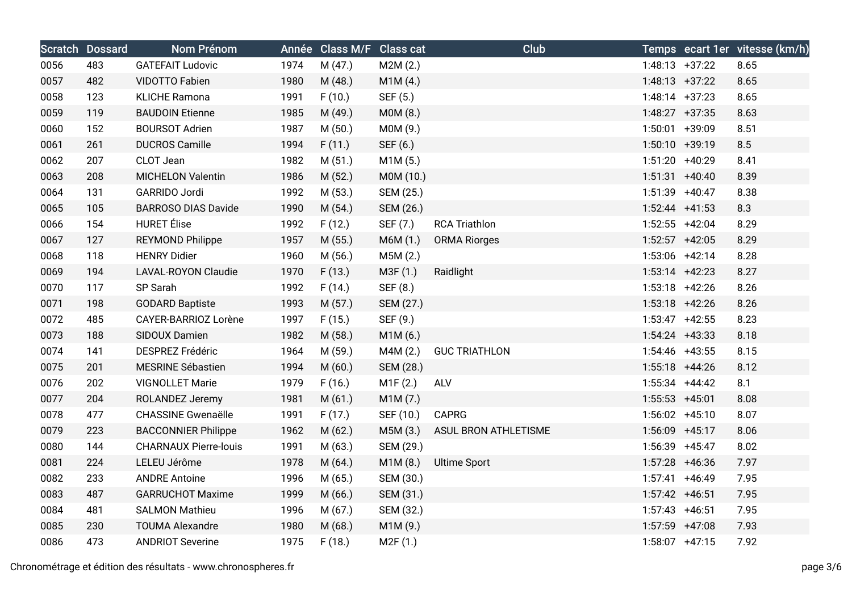|      | <b>Scratch Dossard</b> | Nom Prénom                   |      | Année Class M/F Class cat |           | Club                 |                   | Temps ecart 1er vitesse (km/h) |
|------|------------------------|------------------------------|------|---------------------------|-----------|----------------------|-------------------|--------------------------------|
| 0056 | 483                    | <b>GATEFAIT Ludovic</b>      | 1974 | M(47.)                    | M2M(2.)   |                      | $1:48:13 +37:22$  | 8.65                           |
| 0057 | 482                    | VIDOTTO Fabien               | 1980 | M(48.)                    | M1M(4.)   |                      | $1:48:13 +37:22$  | 8.65                           |
| 0058 | 123                    | <b>KLICHE Ramona</b>         | 1991 | F(10.)                    | SEF (5.)  |                      | $1:48:14$ +37:23  | 8.65                           |
| 0059 | 119                    | <b>BAUDOIN Etienne</b>       | 1985 | M (49.)                   | MOM(8.)   |                      | $1:48:27$ +37:35  | 8.63                           |
| 0060 | 152                    | <b>BOURSOT Adrien</b>        | 1987 | M(50.)                    | M0M (9.)  |                      | 1:50:01 +39:09    | 8.51                           |
| 0061 | 261                    | <b>DUCROS Camille</b>        | 1994 | F(11.)                    | SEF (6.)  |                      | $1:50:10 + 39:19$ | 8.5                            |
| 0062 | 207                    | CLOT Jean                    | 1982 | M(51.)                    | M1M(5.)   |                      | 1:51:20 +40:29    | 8.41                           |
| 0063 | 208                    | <b>MICHELON Valentin</b>     | 1986 | M(52.)                    | M0M (10.) |                      | $1:51:31 + 40:40$ | 8.39                           |
| 0064 | 131                    | GARRIDO Jordi                | 1992 | M (53.)                   | SEM (25.) |                      | $1:51:39$ +40:47  | 8.38                           |
| 0065 | 105                    | <b>BARROSO DIAS Davide</b>   | 1990 | M (54.)                   | SEM (26.) |                      | $1:52:44$ +41:53  | 8.3                            |
| 0066 | 154                    | <b>HURET</b> Élise           | 1992 | F(12.)                    | SEF (7.)  | <b>RCA Triathlon</b> | $1:52:55$ +42:04  | 8.29                           |
| 0067 | 127                    | REYMOND Philippe             | 1957 | M(55.)                    | M6M (1.)  | <b>ORMA Riorges</b>  | $1:52:57$ +42:05  | 8.29                           |
| 0068 | 118                    | <b>HENRY Didier</b>          | 1960 | M (56.)                   | M5M(2.)   |                      | 1:53:06 +42:14    | 8.28                           |
| 0069 | 194                    | LAVAL-ROYON Claudie          | 1970 | F(13.)                    | M3F(1.)   | Raidlight            | $1:53:14$ +42:23  | 8.27                           |
| 0070 | 117                    | SP Sarah                     | 1992 | F(14.)                    | SEF (8.)  |                      | $1:53:18$ +42:26  | 8.26                           |
| 0071 | 198                    | <b>GODARD Baptiste</b>       | 1993 | M(57.)                    | SEM (27.) |                      | $1:53:18$ +42:26  | 8.26                           |
| 0072 | 485                    | CAYER-BARRIOZ Lorène         | 1997 | F(15.)                    | SEF (9.)  |                      | $1:53:47$ +42:55  | 8.23                           |
| 0073 | 188                    | SIDOUX Damien                | 1982 | M (58.)                   | M1M(6.)   |                      | $1:54:24$ +43:33  | 8.18                           |
| 0074 | 141                    | <b>DESPREZ Frédéric</b>      | 1964 | M (59.)                   | M4M (2.)  | <b>GUC TRIATHLON</b> | $1:54:46$ +43:55  | 8.15                           |
| 0075 | 201                    | MESRINE Sébastien            | 1994 | M(60.)                    | SEM (28.) |                      | $1:55:18$ +44:26  | 8.12                           |
| 0076 | 202                    | <b>VIGNOLLET Marie</b>       | 1979 | F(16.)                    | M1F(2.)   | ALV                  | $1:55:34$ +44:42  | 8.1                            |
| 0077 | 204                    | ROLANDEZ Jeremy              | 1981 | M(61.)                    | M1M(7.)   |                      | $1:55:53$ +45:01  | 8.08                           |
| 0078 | 477                    | <b>CHASSINE Gwenaëlle</b>    | 1991 | F(17.)                    | SEF (10.) | <b>CAPRG</b>         | $1:56:02 +45:10$  | 8.07                           |
| 0079 | 223                    | <b>BACCONNIER Philippe</b>   | 1962 | M(62.)                    | M5M (3.)  | ASUL BRON ATHLETISME | 1:56:09 +45:17    | 8.06                           |
| 0080 | 144                    | <b>CHARNAUX Pierre-louis</b> | 1991 | M (63.)                   | SEM (29.) |                      | 1:56:39 +45:47    | 8.02                           |
| 0081 | 224                    | LELEU Jérôme                 | 1978 | M(64.)                    | M1M(8.)   | <b>Ultime Sport</b>  | $1:57:28$ +46:36  | 7.97                           |
| 0082 | 233                    | <b>ANDRE Antoine</b>         | 1996 | M(65.)                    | SEM (30.) |                      | $1:57:41$ +46:49  | 7.95                           |
| 0083 | 487                    | <b>GARRUCHOT Maxime</b>      | 1999 | M(66.)                    | SEM (31.) |                      | $1:57:42 +46:51$  | 7.95                           |
| 0084 | 481                    | <b>SALMON Mathieu</b>        | 1996 | M (67.)                   | SEM (32.) |                      | $1:57:43$ +46:51  | 7.95                           |
| 0085 | 230                    | <b>TOUMA Alexandre</b>       | 1980 | M(68.)                    | M1M(9.)   |                      | $1:57:59$ +47:08  | 7.93                           |
| 0086 | 473                    | <b>ANDRIOT Severine</b>      | 1975 | F(18.)                    | M2F(1.)   |                      | $1:58:07$ +47:15  | 7.92                           |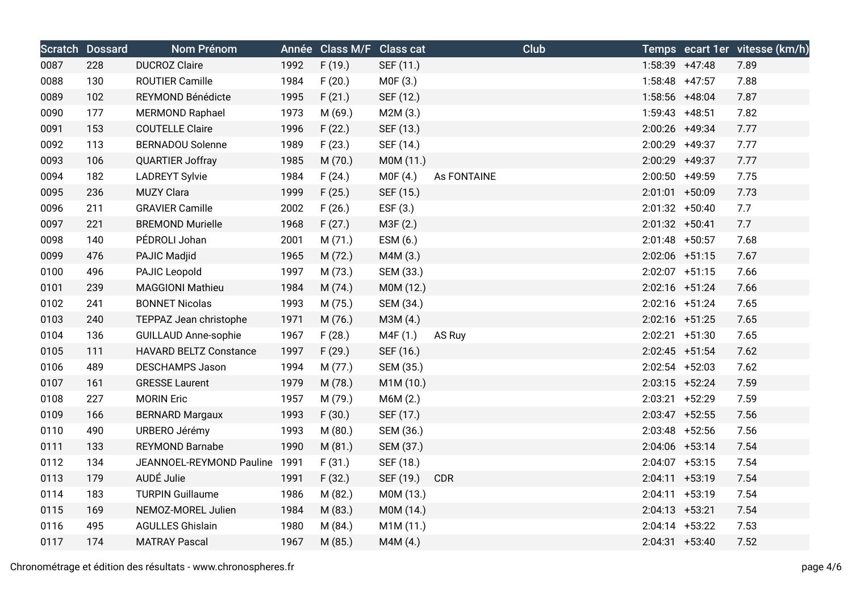|      | <b>Scratch Dossard</b> | Nom Prénom                    |      | Année Class M/F Class cat |           | <b>Club</b> |                   | Temps ecart 1er vitesse (km/h) |
|------|------------------------|-------------------------------|------|---------------------------|-----------|-------------|-------------------|--------------------------------|
| 0087 | 228                    | <b>DUCROZ Claire</b>          | 1992 | F(19.)                    | SEF (11.) |             | 1:58:39 +47:48    | 7.89                           |
| 0088 | 130                    | <b>ROUTIER Camille</b>        | 1984 | F(20.)                    | MOF(3.)   |             | $1:58:48$ +47:57  | 7.88                           |
| 0089 | 102                    | REYMOND Bénédicte             | 1995 | F(21.)                    | SEF (12.) |             | 1:58:56 +48:04    | 7.87                           |
| 0090 | 177                    | <b>MERMOND Raphael</b>        | 1973 | M (69.)                   | M2M(3.)   |             | $1:59:43$ +48:51  | 7.82                           |
| 0091 | 153                    | <b>COUTELLE Claire</b>        | 1996 | F(22.)                    | SEF (13.) |             | 2:00:26 +49:34    | 7.77                           |
| 0092 | 113                    | <b>BERNADOU Solenne</b>       | 1989 | F(23.)                    | SEF (14.) |             | 2:00:29 +49:37    | 7.77                           |
| 0093 | 106                    | <b>QUARTIER Joffray</b>       | 1985 | M (70.)                   | M0M (11.) |             | 2:00:29 +49:37    | 7.77                           |
| 0094 | 182                    | <b>LADREYT Sylvie</b>         | 1984 | F(24.)                    | MOF(4.)   | As FONTAINE | 2:00:50 +49:59    | 7.75                           |
| 0095 | 236                    | <b>MUZY Clara</b>             | 1999 | F(25.)                    | SEF (15.) |             | $2:01:01$ +50:09  | 7.73                           |
| 0096 | 211                    | <b>GRAVIER Camille</b>        | 2002 | F(26.)                    | EST(3.)   |             | $2:01:32 +50:40$  | 7.7                            |
| 0097 | 221                    | <b>BREMOND Murielle</b>       | 1968 | F(27.)                    | M3F (2.)  |             | $2:01:32 +50:41$  | 7.7                            |
| 0098 | 140                    | PÉDROLI Johan                 | 2001 | M(71.)                    | ESM (6.)  |             | $2:01:48$ +50:57  | 7.68                           |
| 0099 | 476                    | PAJIC Madjid                  | 1965 | M(72.)                    | M4M (3.)  |             | $2:02:06$ +51:15  | 7.67                           |
| 0100 | 496                    | PAJIC Leopold                 | 1997 | M (73.)                   | SEM (33.) |             | $2:02:07$ +51:15  | 7.66                           |
| 0101 | 239                    | <b>MAGGIONI Mathieu</b>       | 1984 | M (74.)                   | M0M (12.) |             | 2:02:16 +51:24    | 7.66                           |
| 0102 | 241                    | <b>BONNET Nicolas</b>         | 1993 | M(75.)                    | SEM (34.) |             | $2:02:16$ +51:24  | 7.65                           |
| 0103 | 240                    | TEPPAZ Jean christophe        | 1971 | M (76.)                   | M3M (4.)  |             | $2:02:16$ +51:25  | 7.65                           |
| 0104 | 136                    | <b>GUILLAUD Anne-sophie</b>   | 1967 | F(28.)                    | M4F (1.)  | AS Ruy      | $2:02:21$ +51:30  | 7.65                           |
| 0105 | 111                    | <b>HAVARD BELTZ Constance</b> | 1997 | F(29.)                    | SEF (16.) |             | $2:02:45$ +51:54  | 7.62                           |
| 0106 | 489                    | <b>DESCHAMPS Jason</b>        | 1994 | M(77.)                    | SEM (35.) |             | $2:02:54$ +52:03  | 7.62                           |
| 0107 | 161                    | <b>GRESSE Laurent</b>         | 1979 | M (78.)                   | M1M (10.) |             | $2:03:15$ +52:24  | 7.59                           |
| 0108 | 227                    | <b>MORIN Eric</b>             | 1957 | M (79.)                   | M6M(2.)   |             | $2:03:21$ +52:29  | 7.59                           |
| 0109 | 166                    | <b>BERNARD Margaux</b>        | 1993 | F(30.)                    | SEF (17.) |             | $2:03:47$ +52:55  | 7.56                           |
| 0110 | 490                    | URBERO Jérémy                 | 1993 | M (80.)                   | SEM (36.) |             | $2:03:48$ +52:56  | 7.56                           |
| 0111 | 133                    | <b>REYMOND Barnabe</b>        | 1990 | M(81.)                    | SEM (37.) |             | $2:04:06$ +53:14  | 7.54                           |
| 0112 | 134                    | JEANNOEL-REYMOND Pauline      | 1991 | F(31.)                    | SEF (18.) |             | $2:04:07$ +53:15  | 7.54                           |
| 0113 | 179                    | AUDÉ Julie                    | 1991 | F(32.)                    | SEF (19.) | <b>CDR</b>  | $2:04:11 + 53:19$ | 7.54                           |
| 0114 | 183                    | <b>TURPIN Guillaume</b>       | 1986 | M (82.)                   | M0M (13.) |             | $2:04:11 + 53:19$ | 7.54                           |
| 0115 | 169                    | NEMOZ-MOREL Julien            | 1984 | M(83.)                    | M0M (14.) |             | $2:04:13 +53:21$  | 7.54                           |
| 0116 | 495                    | <b>AGULLES Ghislain</b>       | 1980 | M(84.)                    | M1M (11.) |             | $2:04:14$ +53:22  | 7.53                           |
| 0117 | 174                    | <b>MATRAY Pascal</b>          | 1967 | M (85.)                   | M4M (4.)  |             | $2:04:31 +53:40$  | 7.52                           |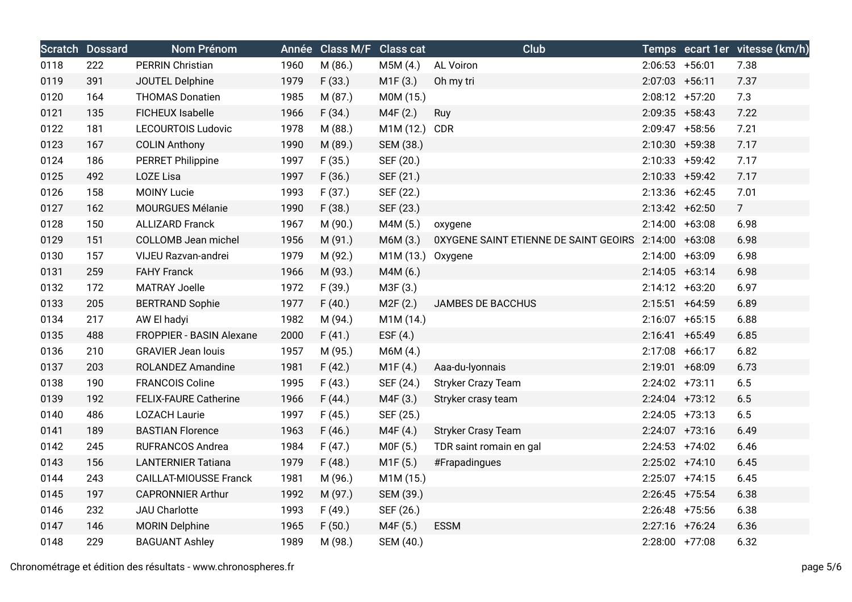|      | <b>Scratch Dossard</b> | Nom Prénom                    |      | Année Class M/F Class cat |                   | <b>Club</b>                                          |                   | Temps ecart 1er vitesse (km/h) |
|------|------------------------|-------------------------------|------|---------------------------|-------------------|------------------------------------------------------|-------------------|--------------------------------|
| 0118 | 222                    | PERRIN Christian              | 1960 | M (86.)                   | M5M (4.)          | AL Voiron                                            | $2:06:53$ +56:01  | 7.38                           |
| 0119 | 391                    | JOUTEL Delphine               | 1979 | F(33.)                    | M1F(3.)           | Oh my tri                                            | $2:07:03$ +56:11  | 7.37                           |
| 0120 | 164                    | <b>THOMAS Donatien</b>        | 1985 | M (87.)                   | M0M (15.)         |                                                      | $2:08:12 +57:20$  | 7.3                            |
| 0121 | 135                    | <b>FICHEUX Isabelle</b>       | 1966 | F(34.)                    | M4F (2.)          | Ruy                                                  | $2:09:35$ +58:43  | 7.22                           |
| 0122 | 181                    | <b>LECOURTOIS Ludovic</b>     | 1978 | M (88.)                   | M1M (12.) CDR     |                                                      | $2:09:47$ +58:56  | 7.21                           |
| 0123 | 167                    | <b>COLIN Anthony</b>          | 1990 | M (89.)                   | SEM (38.)         |                                                      | $2:10:30 + 59:38$ | 7.17                           |
| 0124 | 186                    | <b>PERRET Philippine</b>      | 1997 | F(35.)                    | SEF (20.)         |                                                      | $2:10:33 + 59:42$ | 7.17                           |
| 0125 | 492                    | <b>LOZE Lisa</b>              | 1997 | F(36.)                    | SEF (21.)         |                                                      | $2:10:33 + 59:42$ | 7.17                           |
| 0126 | 158                    | <b>MOINY Lucie</b>            | 1993 | F(37.)                    | SEF (22.)         |                                                      | $2:13:36$ +62:45  | 7.01                           |
| 0127 | 162                    | MOURGUES Mélanie              | 1990 | F(38.)                    | SEF (23.)         |                                                      | $2:13:42 +62:50$  | 7 <sup>7</sup>                 |
| 0128 | 150                    | <b>ALLIZARD Franck</b>        | 1967 | M (90.)                   | M4M (5.)          | oxygene                                              | $2:14:00 +63:08$  | 6.98                           |
| 0129 | 151                    | COLLOMB Jean michel           | 1956 | M (91.)                   | M6M (3.)          | 0XYGENE SAINT ETIENNE DE SAINT GEOIRS 2:14:00 +63:08 |                   | 6.98                           |
| 0130 | 157                    | VIJEU Razvan-andrei           | 1979 | M (92.)                   | M1M (13.) Oxygene |                                                      | $2:14:00 +63:09$  | 6.98                           |
| 0131 | 259                    | <b>FAHY Franck</b>            | 1966 | M (93.)                   | M4M (6.)          |                                                      | $2:14:05$ +63:14  | 6.98                           |
| 0132 | 172                    | <b>MATRAY Joelle</b>          | 1972 | F(39.)                    | M3F (3.)          |                                                      | $2:14:12 +63:20$  | 6.97                           |
| 0133 | 205                    | <b>BERTRAND Sophie</b>        | 1977 | F(40.)                    | M2F(2.)           | JAMBES DE BACCHUS                                    | $2:15:51 + 64:59$ | 6.89                           |
| 0134 | 217                    | AW El hadyi                   | 1982 | M (94.)                   | M1M (14.)         |                                                      | $2:16:07 +65:15$  | 6.88                           |
| 0135 | 488                    | FROPPIER - BASIN Alexane      | 2000 | F(41.)                    | ESF $(4.)$        |                                                      | $2:16:41 + 65:49$ | 6.85                           |
| 0136 | 210                    | <b>GRAVIER Jean louis</b>     | 1957 | M (95.)                   | M6M (4.)          |                                                      | 2:17:08 +66:17    | 6.82                           |
| 0137 | 203                    | ROLANDEZ Amandine             | 1981 | F(42.)                    | M1F(4.)           | Aaa-du-lyonnais                                      | 2:19:01 +68:09    | 6.73                           |
| 0138 | 190                    | <b>FRANCOIS Coline</b>        | 1995 | F(43.)                    | SEF (24.)         | <b>Stryker Crazy Team</b>                            | $2:24:02$ +73:11  | $6.5\,$                        |
| 0139 | 192                    | <b>FELIX-FAURE Catherine</b>  | 1966 | F(44.)                    | M4F (3.)          | Stryker crasy team                                   | $2:24:04$ +73:12  | 6.5                            |
| 0140 | 486                    | <b>LOZACH Laurie</b>          | 1997 | F(45.)                    | SEF (25.)         |                                                      | $2:24:05$ +73:13  | 6.5                            |
| 0141 | 189                    | <b>BASTIAN Florence</b>       | 1963 | F(46.)                    | M4F (4.)          | <b>Stryker Crasy Team</b>                            | $2:24:07$ +73:16  | 6.49                           |
| 0142 | 245                    | <b>RUFRANCOS Andrea</b>       | 1984 | F(47.)                    | MOF(5.)           | TDR saint romain en gal                              | $2:24:53$ +74:02  | 6.46                           |
| 0143 | 156                    | <b>LANTERNIER Tatiana</b>     | 1979 | F(48.)                    | M1F(5.)           | #Frapadingues                                        | $2:25:02$ +74:10  | 6.45                           |
| 0144 | 243                    | <b>CAILLAT-MIOUSSE Franck</b> | 1981 | M (96.)                   | M1M (15.)         |                                                      | $2:25:07$ +74:15  | 6.45                           |
| 0145 | 197                    | <b>CAPRONNIER Arthur</b>      | 1992 | M (97.)                   | SEM (39.)         |                                                      | $2:26:45$ +75:54  | 6.38                           |
| 0146 | 232                    | <b>JAU Charlotte</b>          | 1993 | F(49.)                    | SEF (26.)         |                                                      | $2:26:48$ +75:56  | 6.38                           |
| 0147 | 146                    | <b>MORIN Delphine</b>         | 1965 | F(50.)                    | M4F (5.)          | <b>ESSM</b>                                          | $2:27:16$ +76:24  | 6.36                           |
| 0148 | 229                    | <b>BAGUANT Ashley</b>         | 1989 | M (98.)                   | SEM (40.)         |                                                      | 2:28:00 +77:08    | 6.32                           |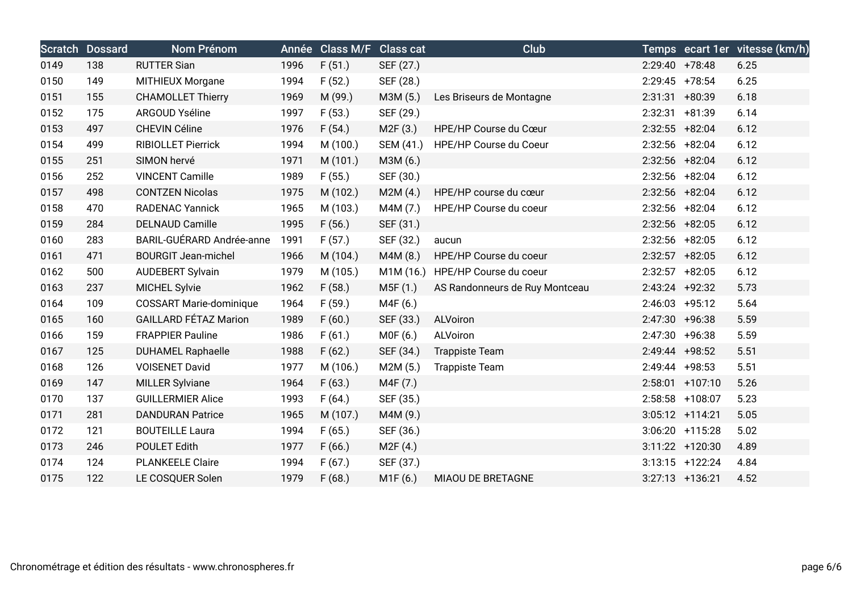|      | <b>Scratch Dossard</b> | <b>Nom Prénom</b>              | Année | Class M/F Class cat |                       | <b>Club</b>                      |                   |                    | Temps ecart 1er vitesse (km/h) |
|------|------------------------|--------------------------------|-------|---------------------|-----------------------|----------------------------------|-------------------|--------------------|--------------------------------|
| 0149 | 138                    | <b>RUTTER Sian</b>             | 1996  | F(51.)              | SEF (27.)             |                                  | $2:29:40$ +78:48  |                    | 6.25                           |
| 0150 | 149                    | MITHIEUX Morgane               | 1994  | F(52.)              | SEF (28.)             |                                  | $2:29:45$ +78:54  |                    | 6.25                           |
| 0151 | 155                    | <b>CHAMOLLET Thierry</b>       | 1969  | M (99.)             | M3M (5.)              | Les Briseurs de Montagne         | $2:31:31$ +80:39  |                    | 6.18                           |
| 0152 | 175                    | ARGOUD Yséline                 | 1997  | F(53.)              | SEF (29.)             |                                  | $2:32:31 + 81:39$ |                    | 6.14                           |
| 0153 | 497                    | CHEVIN Céline                  | 1976  | F(54.)              | M2F (3.)              | HPE/HP Course du Cœur            | $2:32:55$ +82:04  |                    | 6.12                           |
| 0154 | 499                    | RIBIOLLET Pierrick             | 1994  | M (100.)            | SEM (41.)             | HPE/HP Course du Coeur           | 2:32:56 +82:04    |                    | 6.12                           |
| 0155 | 251                    | SIMON hervé                    | 1971  | M (101.)            | M3M (6.)              |                                  | 2:32:56 +82:04    |                    | 6.12                           |
| 0156 | 252                    | <b>VINCENT Camille</b>         | 1989  | F(55.)              | SEF (30.)             |                                  | $2:32:56$ +82:04  |                    | 6.12                           |
| 0157 | 498                    | <b>CONTZEN Nicolas</b>         | 1975  | M (102.)            | M2M(4.)               | HPE/HP course du cœur            | 2:32:56 +82:04    |                    | 6.12                           |
| 0158 | 470                    | <b>RADENAC Yannick</b>         | 1965  | M (103.)            | M4M (7.)              | HPE/HP Course du coeur           | $2:32:56$ +82:04  |                    | 6.12                           |
| 0159 | 284                    | DELNAUD Camille                | 1995  | F(56.)              | SEF (31.)             |                                  | $2:32:56$ +82:05  |                    | 6.12                           |
| 0160 | 283                    | BARIL-GUÉRARD Andrée-anne      | 1991  | F(57.)              | SEF (32.)             | aucun                            | $2:32:56$ +82:05  |                    | 6.12                           |
| 0161 | 471                    | <b>BOURGIT Jean-michel</b>     | 1966  | M (104.)            | M4M (8.)              | HPE/HP Course du coeur           | $2:32:57$ +82:05  |                    | 6.12                           |
| 0162 | 500                    | <b>AUDEBERT Sylvain</b>        | 1979  | M (105.)            |                       | M1M (16.) HPE/HP Course du coeur | $2:32:57$ +82:05  |                    | 6.12                           |
| 0163 | 237                    | <b>MICHEL Sylvie</b>           | 1962  | F(58.)              | M5F (1.)              | AS Randonneurs de Ruy Montceau   | $2:43:24$ +92:32  |                    | 5.73                           |
| 0164 | 109                    | <b>COSSART Marie-dominique</b> | 1964  | F(59.)              | M4F (6.)              |                                  | $2:46:03$ +95:12  |                    | 5.64                           |
| 0165 | 160                    | <b>GAILLARD FÉTAZ Marion</b>   | 1989  | F(60.)              | SEF (33.)             | ALVoiron                         | 2:47:30 +96:38    |                    | 5.59                           |
| 0166 | 159                    | <b>FRAPPIER Pauline</b>        | 1986  | F(61.)              | M0F (6.)              | ALVoiron                         | $2:47:30 +96:38$  |                    | 5.59                           |
| 0167 | 125                    | <b>DUHAMEL Raphaelle</b>       | 1988  | F(62.)              | SEF (34.)             | <b>Trappiste Team</b>            | 2:49:44 +98:52    |                    | 5.51                           |
| 0168 | 126                    | <b>VOISENET David</b>          | 1977  | M (106.)            | M2M(5.)               | <b>Trappiste Team</b>            | $2:49:44$ +98:53  |                    | 5.51                           |
| 0169 | 147                    | <b>MILLER Sylviane</b>         | 1964  | F(63.)              | M4F (7.)              |                                  |                   | 2:58:01 +107:10    | 5.26                           |
| 0170 | 137                    | <b>GUILLERMIER Alice</b>       | 1993  | F(64.)              | SEF (35.)             |                                  |                   | 2:58:58 +108:07    | 5.23                           |
| 0171 | 281                    | <b>DANDURAN Patrice</b>        | 1965  | M (107.)            | M4M (9.)              |                                  |                   | $3:05:12 +114:21$  | 5.05                           |
| 0172 | 121                    | <b>BOUTEILLE Laura</b>         | 1994  | F(65.)              | SEF (36.)             |                                  |                   | $3:06:20$ +115:28  | 5.02                           |
| 0173 | 246                    | <b>POULET Edith</b>            | 1977  | F(66.)              | M <sub>2</sub> F (4.) |                                  |                   | $3:11:22 + 120:30$ | 4.89                           |
| 0174 | 124                    | <b>PLANKEELE Claire</b>        | 1994  | F(67.)              | SEF (37.)             |                                  |                   | $3:13:15$ +122:24  | 4.84                           |
| 0175 | 122                    | LE COSQUER Solen               | 1979  | F(68.)              | M1F(6.)               | MIAOU DE BRETAGNE                |                   | $3:27:13$ +136:21  | 4.52                           |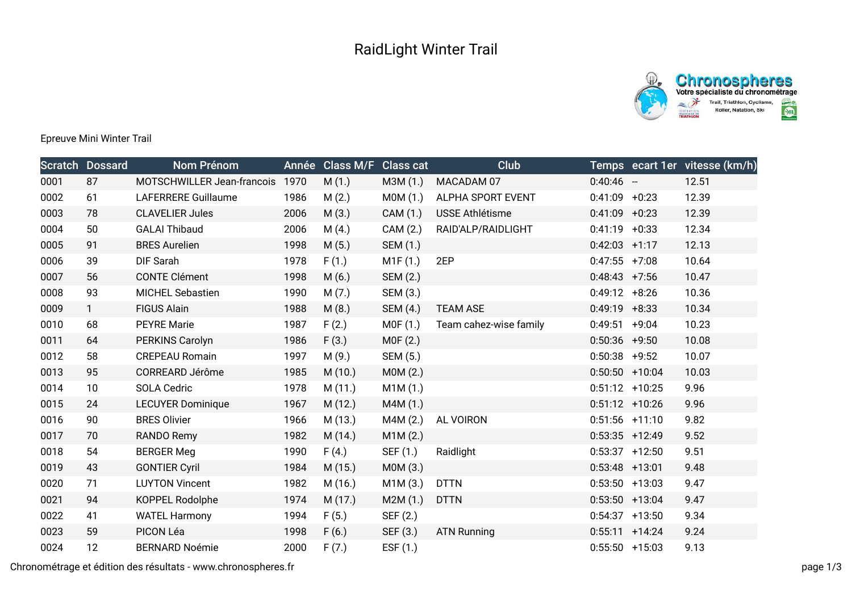



Epreuve Mini Winter Trail

|      | <b>Scratch Dossard</b> | Nom Prénom                 |      | Année Class M/F | <b>Class cat</b> | <b>Club</b>            |                  |                   | Temps ecart 1er vitesse (km/h) |
|------|------------------------|----------------------------|------|-----------------|------------------|------------------------|------------------|-------------------|--------------------------------|
| 0001 | 87                     | MOTSCHWILLER Jean-francois | 1970 | M(1.)           | M3M (1.)         | MACADAM 07             | $0:40:46 -$      |                   | 12.51                          |
| 0002 | 61                     | LAFERRERE Guillaume        | 1986 | M(2.)           | MOM(1.)          | ALPHA SPORT EVENT      | $0:41:09$ +0:23  |                   | 12.39                          |
| 0003 | 78                     | <b>CLAVELIER Jules</b>     | 2006 | M(3.)           | CAM (1.)         | <b>USSE Athlétisme</b> | $0:41:09 +0:23$  |                   | 12.39                          |
| 0004 | 50                     | <b>GALAI Thibaud</b>       | 2006 | M(4.)           | CAM (2.)         | RAID'ALP/RAIDLIGHT     | $0:41:19 + 0:33$ |                   | 12.34                          |
| 0005 | 91                     | <b>BRES Aurelien</b>       | 1998 | M(5.)           | SEM (1.)         |                        | $0:42:03$ +1:17  |                   | 12.13                          |
| 0006 | 39                     | DIF Sarah                  | 1978 | F(1.)           | M1F(1.)          | 2EP                    | $0:47:55$ +7:08  |                   | 10.64                          |
| 0007 | 56                     | <b>CONTE Clément</b>       | 1998 | M(6.)           | SEM (2.)         |                        | $0:48:43$ +7:56  |                   | 10.47                          |
| 0008 | 93                     | <b>MICHEL Sebastien</b>    | 1990 | M(7.)           | SEM (3.)         |                        | $0:49:12 + 8:26$ |                   | 10.36                          |
| 0009 | $\mathbf{1}$           | <b>FIGUS Alain</b>         | 1988 | M(8.)           | SEM (4.)         | <b>TEAM ASE</b>        | $0:49:19$ +8:33  |                   | 10.34                          |
| 0010 | 68                     | <b>PEYRE Marie</b>         | 1987 | F(2.)           | MOF(1.)          | Team cahez-wise family | $0:49:51$ +9:04  |                   | 10.23                          |
| 0011 | 64                     | PERKINS Carolyn            | 1986 | F(3.)           | MOF(2.)          |                        | $0:50:36$ +9:50  |                   | 10.08                          |
| 0012 | 58                     | <b>CREPEAU Romain</b>      | 1997 | M(9.)           | SEM (5.)         |                        | $0:50:38$ +9:52  |                   | 10.07                          |
| 0013 | 95                     | CORREARD Jérôme            | 1985 | M(10.)          | MOM(2.)          |                        |                  | $0:50:50$ +10:04  | 10.03                          |
| 0014 | 10                     | SOLA Cedric                | 1978 | M(11.)          | M1M(1.)          |                        | $0:51:12$ +10:25 |                   | 9.96                           |
| 0015 | 24                     | <b>LECUYER Dominique</b>   | 1967 | M(12.)          | M4M (1.)         |                        |                  | $0:51:12$ +10:26  | 9.96                           |
| 0016 | 90                     | <b>BRES Olivier</b>        | 1966 | M (13.)         | M4M(2.)          | AL VOIRON              |                  | $0:51:56$ +11:10  | 9.82                           |
| 0017 | 70                     | RANDO Remy                 | 1982 | M (14.)         | M1M(2.)          |                        |                  | $0:53:35$ +12:49  | 9.52                           |
| 0018 | 54                     | <b>BERGER Meg</b>          | 1990 | F(4.)           | SEF (1.)         | Raidlight              |                  | $0:53:37$ +12:50  | 9.51                           |
| 0019 | 43                     | <b>GONTIER Cyril</b>       | 1984 | M(15.)          | MOM(3.)          |                        | $0:53:48$ +13:01 |                   | 9.48                           |
| 0020 | 71                     | <b>LUYTON Vincent</b>      | 1982 | M (16.)         | M1M(3.)          | <b>DTTN</b>            |                  | $0:53:50$ +13:03  | 9.47                           |
| 0021 | 94                     | KOPPEL Rodolphe            | 1974 | M(17.)          | M2M(1.)          | <b>DTTN</b>            |                  | $0:53:50$ +13:04  | 9.47                           |
| 0022 | 41                     | <b>WATEL Harmony</b>       | 1994 | F(5.)           | SEF (2.)         |                        |                  | $0:54:37$ +13:50  | 9.34                           |
| 0023 | 59                     | PICON Léa                  | 1998 | F(6.)           | SEF (3.)         | <b>ATN Running</b>     |                  | $0:55:11 + 14:24$ | 9.24                           |
| 0024 | 12                     | <b>BERNARD Noémie</b>      | 2000 | F(7.)           | ESF (1.)         |                        |                  | $0:55:50 + 15:03$ | 9.13                           |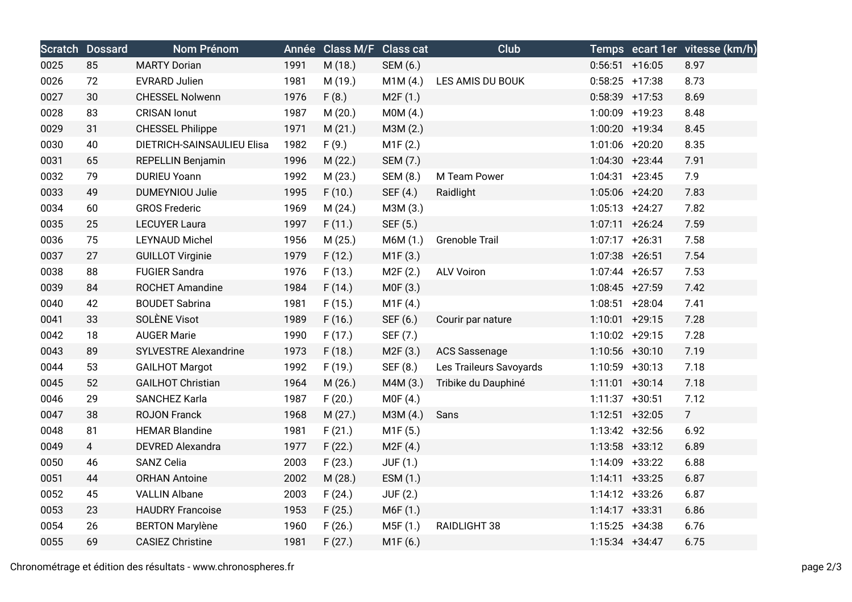|      | <b>Scratch Dossard</b> | <b>Nom Prénom</b>            |      | Année Class M/F Class cat |                 | <b>Club</b>             |                  |                   | Temps ecart 1er vitesse (km/h) |
|------|------------------------|------------------------------|------|---------------------------|-----------------|-------------------------|------------------|-------------------|--------------------------------|
| 0025 | 85                     | <b>MARTY Dorian</b>          | 1991 | M (18.)                   | SEM (6.)        |                         |                  | $0:56:51$ +16:05  | 8.97                           |
| 0026 | 72                     | <b>EVRARD Julien</b>         | 1981 | M (19.)                   | M1M(4.)         | LES AMIS DU BOUK        | $0:58:25$ +17:38 |                   | 8.73                           |
| 0027 | 30                     | <b>CHESSEL Nolwenn</b>       | 1976 | F(8.)                     | M2F(1.)         |                         | $0:58:39$ +17:53 |                   | 8.69                           |
| 0028 | 83                     | <b>CRISAN</b> lonut          | 1987 | M (20.)                   | MOM(4.)         |                         | 1:00:09 +19:23   |                   | 8.48                           |
| 0029 | 31                     | <b>CHESSEL Philippe</b>      | 1971 | M(21.)                    | M3M (2.)        |                         |                  | 1:00:20 +19:34    | 8.45                           |
| 0030 | 40                     | DIETRICH-SAINSAULIEU Elisa   | 1982 | F(9.)                     | M1F(2.)         |                         |                  | 1:01:06 +20:20    | 8.35                           |
| 0031 | 65                     | REPELLIN Benjamin            | 1996 | M(22.)                    | SEM (7.)        |                         |                  | $1:04:30 +23:44$  | 7.91                           |
| 0032 | 79                     | <b>DURIEU Yoann</b>          | 1992 | M (23.)                   | SEM (8.)        | M Team Power            |                  | $1:04:31$ +23:45  | 7.9                            |
| 0033 | 49                     | <b>DUMEYNIOU Julie</b>       | 1995 | F(10.)                    | SEF (4.)        | Raidlight               |                  | 1:05:06 +24:20    | 7.83                           |
| 0034 | 60                     | <b>GROS Frederic</b>         | 1969 | M(24.)                    | M3M (3.)        |                         |                  | $1:05:13 + 24:27$ | 7.82                           |
| 0035 | 25                     | <b>LECUYER Laura</b>         | 1997 | F(11.)                    | SEF (5.)        |                         |                  | $1:07:11 + 26:24$ | 7.59                           |
| 0036 | 75                     | <b>LEYNAUD Michel</b>        | 1956 | M(25.)                    | M6M (1.)        | Grenoble Trail          |                  | $1:07:17$ +26:31  | 7.58                           |
| 0037 | 27                     | <b>GUILLOT Virginie</b>      | 1979 | F(12.)                    | M1F(3.)         |                         | $1:07:38$ +26:51 |                   | 7.54                           |
| 0038 | 88                     | <b>FUGIER Sandra</b>         | 1976 | F(13.)                    | M2F (2.)        | <b>ALV Voiron</b>       | 1:07:44 +26:57   |                   | 7.53                           |
| 0039 | 84                     | <b>ROCHET Amandine</b>       | 1984 | F(14.)                    | MOF(3.)         |                         |                  | $1:08:45$ +27:59  | 7.42                           |
| 0040 | 42                     | <b>BOUDET Sabrina</b>        | 1981 | F(15.)                    | M1F(4.)         |                         |                  | $1:08:51$ +28:04  | 7.41                           |
| 0041 | 33                     | SOLÈNE Visot                 | 1989 | F(16.)                    | SEF (6.)        | Courir par nature       |                  | $1:10:01$ +29:15  | 7.28                           |
| 0042 | 18                     | <b>AUGER Marie</b>           | 1990 | F(17.)                    | SEF (7.)        |                         |                  | 1:10:02 +29:15    | 7.28                           |
| 0043 | 89                     | <b>SYLVESTRE Alexandrine</b> | 1973 | F(18.)                    | M2F(3.)         | <b>ACS Sassenage</b>    | 1:10:56 +30:10   |                   | 7.19                           |
| 0044 | 53                     | <b>GAILHOT Margot</b>        | 1992 | F(19.)                    | SEF (8.)        | Les Traileurs Savoyards | 1:10:59 +30:13   |                   | 7.18                           |
| 0045 | 52                     | <b>GAILHOT Christian</b>     | 1964 | M(26.)                    | M4M (3.)        | Tribike du Dauphiné     |                  | $1:11:01$ +30:14  | 7.18                           |
| 0046 | 29                     | SANCHEZ Karla                | 1987 | F(20.)                    | MOF(4.)         |                         | $1:11:37$ +30:51 |                   | 7.12                           |
| 0047 | 38                     | <b>ROJON Franck</b>          | 1968 | M(27.)                    | M3M (4.)        | Sans                    |                  | $1:12:51$ +32:05  | 7 <sup>1</sup>                 |
| 0048 | 81                     | <b>HEMAR Blandine</b>        | 1981 | F(21.)                    | M1F (5.)        |                         |                  | $1:13:42 +32:56$  | 6.92                           |
| 0049 | $\overline{4}$         | <b>DEVRED Alexandra</b>      | 1977 | F(22.)                    | M2F(4.)         |                         |                  | $1:13:58$ +33:12  | 6.89                           |
| 0050 | 46                     | <b>SANZ Celia</b>            | 2003 | F(23.)                    | <b>JUF (1.)</b> |                         |                  | 1:14:09 +33:22    | 6.88                           |
| 0051 | 44                     | <b>ORHAN Antoine</b>         | 2002 | M (28.)                   | ESM (1.)        |                         |                  | $1:14:11 + 33:25$ | 6.87                           |
| 0052 | 45                     | <b>VALLIN Albane</b>         | 2003 | F(24.)                    | <b>JUF (2.)</b> |                         |                  | $1:14:12 +33:26$  | 6.87                           |
| 0053 | 23                     | <b>HAUDRY Francoise</b>      | 1953 | F(25.)                    | M6F (1.)        |                         |                  | $1:14:17 + 33:31$ | 6.86                           |
| 0054 | 26                     | <b>BERTON Marylène</b>       | 1960 | F(26.)                    | M5F(1.)         | RAIDLIGHT 38            | $1:15:25$ +34:38 |                   | 6.76                           |
| 0055 | 69                     | <b>CASIEZ Christine</b>      | 1981 | F(27.)                    | M1F (6.)        |                         | $1:15:34$ +34:47 |                   | 6.75                           |